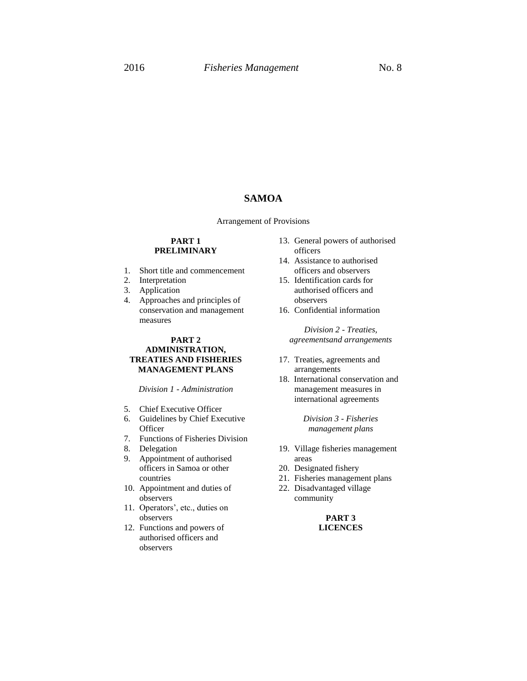# **SAMOA**

Arrangement of Provisions

## **PART 1 PRELIMINARY**

- 1. Short title and commencement
- 2. Interpretation
- 3. Application
- 4. Approaches and principles of conservation and management measures

## **PART 2 ADMINISTRATION, TREATIES AND FISHERIES MANAGEMENT PLANS**

*Division 1 - Administration*

- 5. Chief Executive Officer
- 6. Guidelines by Chief Executive **Officer**
- 7. Functions of Fisheries Division
- 8. Delegation
- 9. Appointment of authorised officers in Samoa or other countries
- 10. Appointment and duties of observers
- 11. Operators', etc., duties on observers
- 12. Functions and powers of authorised officers and observers
- 13. General powers of authorised officers
- 14. Assistance to authorised officers and observers
- 15. Identification cards for authorised officers and observers
- 16. Confidential information

*Division 2 - Treaties, agreementsand arrangements*

- 17. Treaties, agreements and arrangements
- 18. International conservation and management measures in international agreements

*Division 3 - Fisheries management plans*

- 19. Village fisheries management areas
- 20. Designated fishery
- 21. Fisheries management plans
- 22. Disadvantaged village community

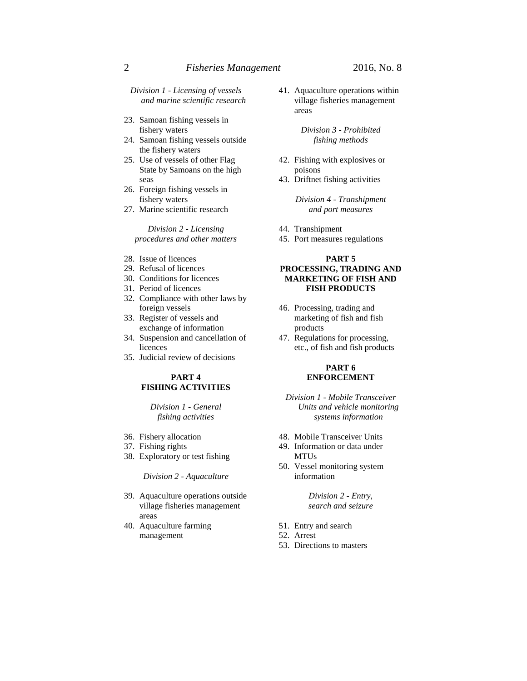*Division 1 - Licensing of vessels and marine scientific research*

- 23. Samoan fishing vessels in fishery waters
- 24. Samoan fishing vessels outside the fishery waters
- 25. Use of vessels of other Flag State by Samoans on the high seas
- 26. Foreign fishing vessels in fishery waters
- 27. Marine scientific research

*Division 2 - Licensing procedures and other matters*

- 28. Issue of licences
- 29. Refusal of licences
- 30. Conditions for licences
- 31. Period of licences
- 32. Compliance with other laws by foreign vessels
- 33. Register of vessels and exchange of information
- 34. Suspension and cancellation of licences
- 35. Judicial review of decisions

### **PART 4 FISHING ACTIVITIES**

*Division 1 - General fishing activities*

- 36. Fishery allocation
- 37. Fishing rights
- 38. Exploratory or test fishing

*Division 2 - Aquaculture*

- 39. Aquaculture operations outside village fisheries management areas
- 40. Aquaculture farming management

41. Aquaculture operations within village fisheries management areas

> *Division 3 - Prohibited fishing methods*

- 42. Fishing with explosives or poisons
- 43. Driftnet fishing activities

*Division 4 - Transhipment and port measures*

44. Transhipment

45. Port measures regulations

### **PART 5 PROCESSING, TRADING AND MARKETING OF FISH AND FISH PRODUCTS**

- 46. Processing, trading and marketing of fish and fish products
- 47. Regulations for processing, etc., of fish and fish products

### **PART 6 ENFORCEMENT**

*Division 1 - Mobile Transceiver Units and vehicle monitoring systems information*

- 48. Mobile Transceiver Units
- 49. Information or data under MTUs
- 50. Vessel monitoring system information

*Division 2 - Entry, search and seizure*

- 51. Entry and search
- 52. Arrest
- 53. Directions to masters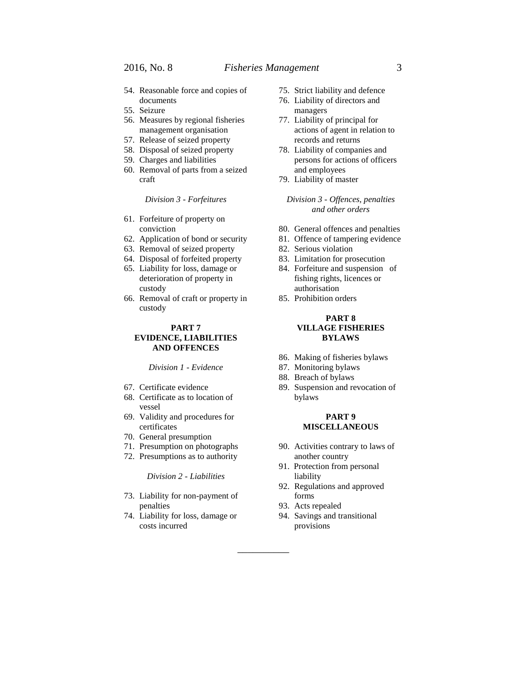- 54. Reasonable force and copies of documents
- 55. Seizure
- 56. Measures by regional fisheries management organisation
- 57. Release of seized property
- 58. Disposal of seized property
- 59. Charges and liabilities
- 60. Removal of parts from a seized craft

*Division 3 - Forfeitures*

- 61. Forfeiture of property on conviction
- 62. Application of bond or security
- 63. Removal of seized property
- 64. Disposal of forfeited property
- 65. Liability for loss, damage or deterioration of property in custody
- 66. Removal of craft or property in custody

# **PART 7**

### **EVIDENCE, LIABILITIES AND OFFENCES**

*Division 1 - Evidence*

- 67. Certificate evidence
- 68. Certificate as to location of vessel
- 69. Validity and procedures for certificates
- 70. General presumption
- 71. Presumption on photographs
- 72. Presumptions as to authority

*Division 2 - Liabilities*

- 73. Liability for non-payment of penalties
- 74. Liability for loss, damage or costs incurred
- 75. Strict liability and defence
- 76. Liability of directors and managers
- 77. Liability of principal for actions of agent in relation to records and returns
- 78. Liability of companies and persons for actions of officers and employees
- 79. Liability of master

*Division 3 - Offences, penalties and other orders*

- 80. General offences and penalties
- 81. Offence of tampering evidence
- 82. Serious violation
- 83. Limitation for prosecution
- 84. Forfeiture and suspension of fishing rights, licences or authorisation
- 85. Prohibition orders

### **PART 8 VILLAGE FISHERIES BYLAWS**

- 86. Making of fisheries bylaws
- 87. Monitoring bylaws
- 88. Breach of bylaws
- 89. Suspension and revocation of bylaws

#### **PART 9 MISCELLANEOUS**

- 90. Activities contrary to laws of another country
- 91. Protection from personal liability
- 92. Regulations and approved forms
- 93. Acts repealed

\_\_\_\_\_\_\_\_\_\_

94. Savings and transitional provisions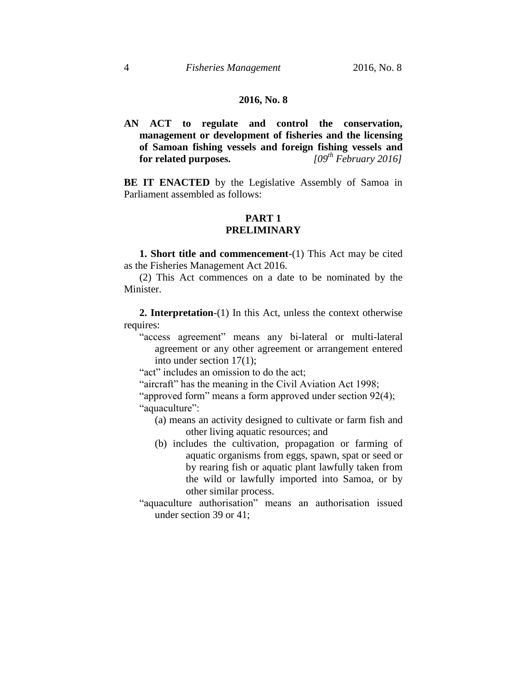# **2016, No. 8**

**AN ACT to regulate and control the conservation, management or development of fisheries and the licensing of Samoan fishing vessels and foreign fishing vessels and for related purposes.** *[09th February 2016]*

**BE IT ENACTED** by the Legislative Assembly of Samoa in Parliament assembled as follows:

# **PART 1 PRELIMINARY**

**1. Short title and commencement**-(1) This Act may be cited as the Fisheries Management Act 2016.

(2) This Act commences on a date to be nominated by the Minister.

**2. Interpretation**-(1) In this Act, unless the context otherwise requires:

"access agreement" means any bi-lateral or multi-lateral agreement or any other agreement or arrangement entered into under section 17(1);

"act" includes an omission to do the act;

"aircraft" has the meaning in the Civil Aviation Act 1998;

"approved form" means a form approved under section 92(4); "aquaculture":

- (a) means an activity designed to cultivate or farm fish and other living aquatic resources; and
- (b) includes the cultivation, propagation or farming of aquatic organisms from eggs, spawn, spat or seed or by rearing fish or aquatic plant lawfully taken from the wild or lawfully imported into Samoa, or by other similar process.
- "aquaculture authorisation" means an authorisation issued under section 39 or 41;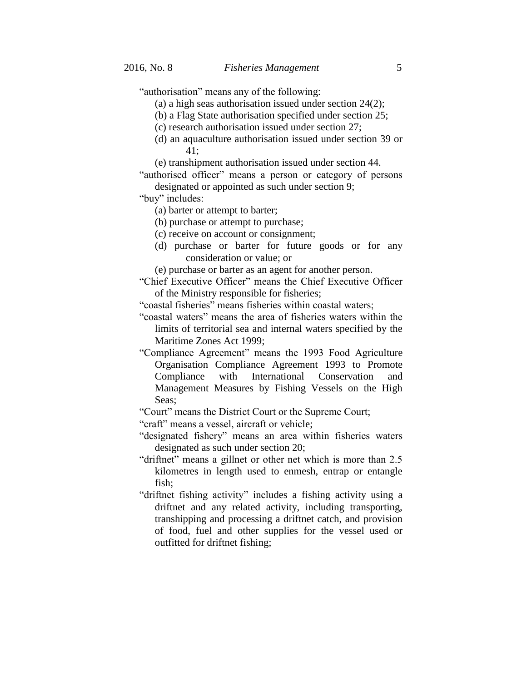"authorisation" means any of the following:

- (a) a high seas authorisation issued under section 24(2);
- (b) a Flag State authorisation specified under section 25;
- (c) research authorisation issued under section 27;
- (d) an aquaculture authorisation issued under section 39 or 41;
- (e) transhipment authorisation issued under section 44.

"authorised officer" means a person or category of persons designated or appointed as such under section 9;

"buy" includes:

- (a) barter or attempt to barter;
- (b) purchase or attempt to purchase;
- (c) receive on account or consignment;
- (d) purchase or barter for future goods or for any consideration or value; or
- (e) purchase or barter as an agent for another person.
- "Chief Executive Officer" means the Chief Executive Officer of the Ministry responsible for fisheries;
- "coastal fisheries" means fisheries within coastal waters;
- "coastal waters" means the area of fisheries waters within the limits of territorial sea and internal waters specified by the Maritime Zones Act 1999;
- "Compliance Agreement" means the 1993 Food Agriculture Organisation Compliance Agreement 1993 to Promote Compliance with International Conservation and Management Measures by Fishing Vessels on the High Seas;
- "Court" means the District Court or the Supreme Court;
- "craft" means a vessel, aircraft or vehicle;
- "designated fishery" means an area within fisheries waters designated as such under section 20;
- "driftnet" means a gillnet or other net which is more than 2.5 kilometres in length used to enmesh, entrap or entangle fish;
- "driftnet fishing activity" includes a fishing activity using a driftnet and any related activity, including transporting, transhipping and processing a driftnet catch, and provision of food, fuel and other supplies for the vessel used or outfitted for driftnet fishing;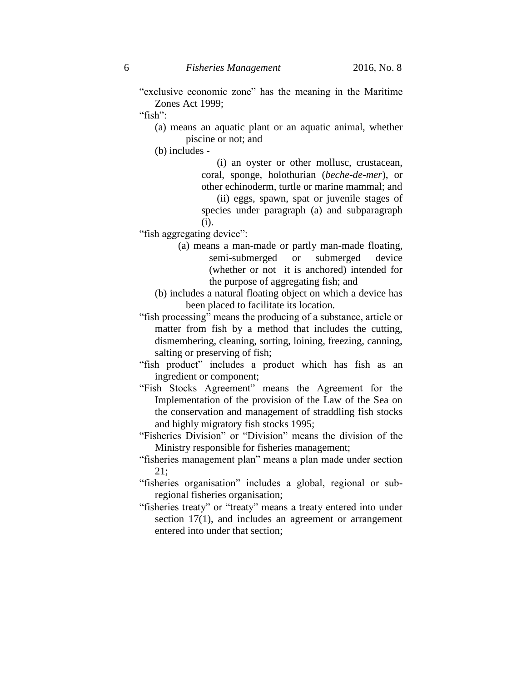"exclusive economic zone" has the meaning in the Maritime Zones Act 1999;

"fish":

(a) means an aquatic plant or an aquatic animal, whether piscine or not; and

(b) includes -

(i) an oyster or other mollusc, crustacean, coral, sponge, holothurian (*beche-de-mer*), or other echinoderm, turtle or marine mammal; and

(ii) eggs, spawn, spat or juvenile stages of species under paragraph (a) and subparagraph (i).

"fish aggregating device":

- (a) means a man-made or partly man-made floating, semi-submerged or submerged device (whether or not it is anchored) intended for the purpose of aggregating fish; and
- (b) includes a natural floating object on which a device has been placed to facilitate its location.
- "fish processing" means the producing of a substance, article or matter from fish by a method that includes the cutting, dismembering, cleaning, sorting, loining, freezing, canning, salting or preserving of fish;
- "fish product" includes a product which has fish as an ingredient or component;
- "Fish Stocks Agreement" means the Agreement for the Implementation of the provision of the Law of the Sea on the conservation and management of straddling fish stocks and highly migratory fish stocks 1995;
- "Fisheries Division" or "Division" means the division of the Ministry responsible for fisheries management;

"fisheries management plan" means a plan made under section 21;

- "fisheries organisation" includes a global, regional or subregional fisheries organisation;
- "fisheries treaty" or "treaty" means a treaty entered into under section 17(1), and includes an agreement or arrangement entered into under that section;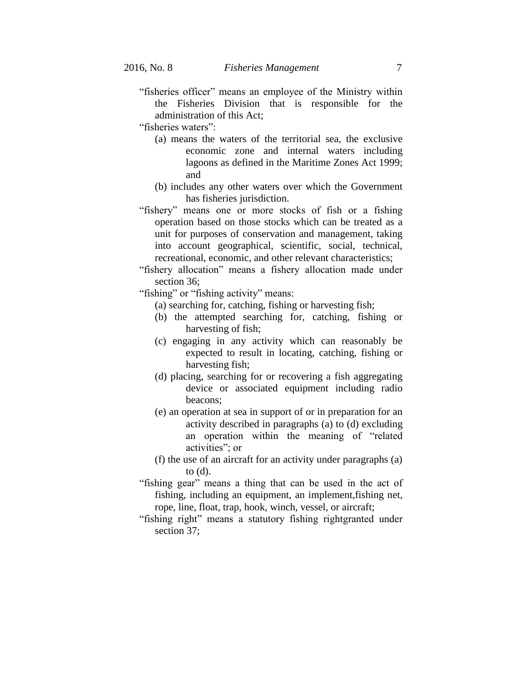- "fisheries officer" means an employee of the Ministry within the Fisheries Division that is responsible for the administration of this Act;
- "fisheries waters":
	- (a) means the waters of the territorial sea, the exclusive economic zone and internal waters including lagoons as defined in the Maritime Zones Act 1999; and
	- (b) includes any other waters over which the Government has fisheries jurisdiction.
- "fishery" means one or more stocks of fish or a fishing operation based on those stocks which can be treated as a unit for purposes of conservation and management, taking into account geographical, scientific, social, technical, recreational, economic, and other relevant characteristics;
- "fishery allocation" means a fishery allocation made under section 36;
- "fishing" or "fishing activity" means:
	- (a) searching for, catching, fishing or harvesting fish;
	- (b) the attempted searching for, catching, fishing or harvesting of fish;
	- (c) engaging in any activity which can reasonably be expected to result in locating, catching, fishing or harvesting fish;
	- (d) placing, searching for or recovering a fish aggregating device or associated equipment including radio beacons;
	- (e) an operation at sea in support of or in preparation for an activity described in paragraphs (a) to (d) excluding an operation within the meaning of "related activities"; or
	- (f) the use of an aircraft for an activity under paragraphs (a) to (d).
- "fishing gear" means a thing that can be used in the act of fishing, including an equipment, an implement,fishing net, rope, line, float, trap, hook, winch, vessel, or aircraft;
- "fishing right" means a statutory fishing rightgranted under section 37;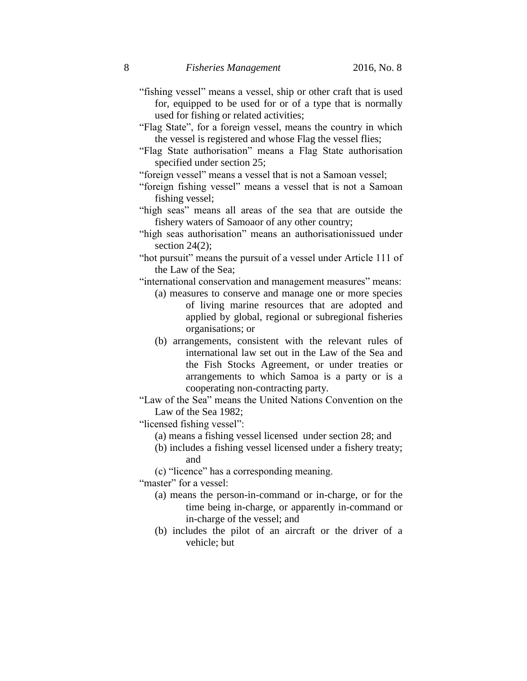- "fishing vessel" means a vessel, ship or other craft that is used for, equipped to be used for or of a type that is normally used for fishing or related activities;
- "Flag State", for a foreign vessel, means the country in which the vessel is registered and whose Flag the vessel flies;
- "Flag State authorisation" means a Flag State authorisation specified under section 25;
- "foreign vessel" means a vessel that is not a Samoan vessel;
- "foreign fishing vessel" means a vessel that is not a Samoan fishing vessel;
- "high seas" means all areas of the sea that are outside the fishery waters of Samoaor of any other country;
- "high seas authorisation" means an authorisationissued under section  $24(2)$ ;
- "hot pursuit" means the pursuit of a vessel under Article 111 of the Law of the Sea;
- "international conservation and management measures" means:
	- (a) measures to conserve and manage one or more species of living marine resources that are adopted and applied by global, regional or subregional fisheries organisations; or
	- (b) arrangements, consistent with the relevant rules of international law set out in the Law of the Sea and the Fish Stocks Agreement, or under treaties or arrangements to which Samoa is a party or is a cooperating non-contracting party.
- "Law of the Sea" means the United Nations Convention on the Law of the Sea 1982;

"licensed fishing vessel":

- (a) means a fishing vessel licensed under section 28; and
- (b) includes a fishing vessel licensed under a fishery treaty; and
- (c) "licence" has a corresponding meaning.

"master" for a vessel:

- (a) means the person-in-command or in-charge, or for the time being in-charge, or apparently in-command or in-charge of the vessel; and
- (b) includes the pilot of an aircraft or the driver of a vehicle; but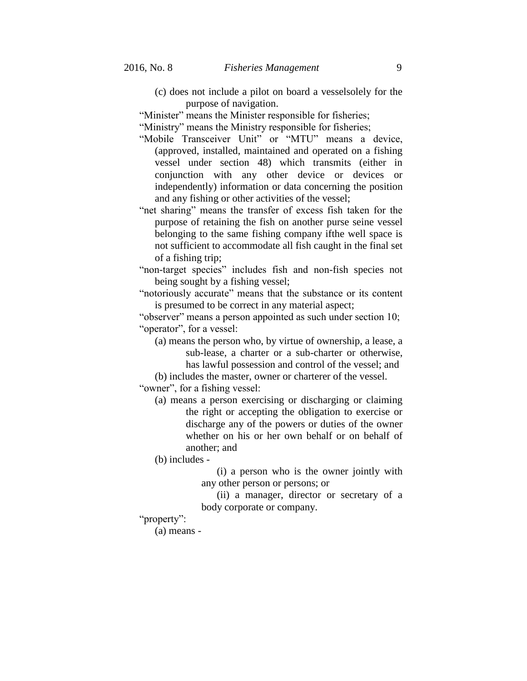(c) does not include a pilot on board a vesselsolely for the purpose of navigation.

"Minister" means the Minister responsible for fisheries;

"Ministry" means the Ministry responsible for fisheries;

- "Mobile Transceiver Unit" or "MTU" means a device, (approved, installed, maintained and operated on a fishing vessel under section 48) which transmits (either in conjunction with any other device or devices or independently) information or data concerning the position and any fishing or other activities of the vessel;
- "net sharing" means the transfer of excess fish taken for the purpose of retaining the fish on another purse seine vessel belonging to the same fishing company ifthe well space is not sufficient to accommodate all fish caught in the final set of a fishing trip;

"non-target species" includes fish and non-fish species not being sought by a fishing vessel;

"notoriously accurate" means that the substance or its content is presumed to be correct in any material aspect;

"observer" means a person appointed as such under section 10; "operator", for a vessel:

(a) means the person who, by virtue of ownership, a lease, a sub-lease, a charter or a sub-charter or otherwise, has lawful possession and control of the vessel; and

(b) includes the master, owner or charterer of the vessel. "owner", for a fishing vessel:

(a) means a person exercising or discharging or claiming the right or accepting the obligation to exercise or discharge any of the powers or duties of the owner whether on his or her own behalf or on behalf of another; and

(b) includes -

(i) a person who is the owner jointly with any other person or persons; or

(ii) a manager, director or secretary of a body corporate or company.

"property":

(a) means -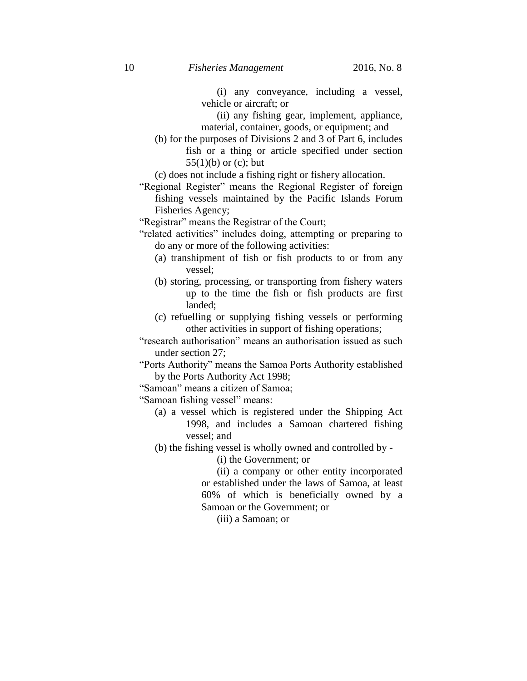(i) any conveyance, including a vessel, vehicle or aircraft; or

(ii) any fishing gear, implement, appliance, material, container, goods, or equipment; and

(b) for the purposes of Divisions 2 and 3 of Part 6, includes fish or a thing or article specified under section 55(1)(b) or (c); but

(c) does not include a fishing right or fishery allocation.

"Regional Register" means the Regional Register of foreign fishing vessels maintained by the Pacific Islands Forum Fisheries Agency;

"Registrar" means the Registrar of the Court;

- "related activities" includes doing, attempting or preparing to do any or more of the following activities:
	- (a) transhipment of fish or fish products to or from any vessel;
	- (b) storing, processing, or transporting from fishery waters up to the time the fish or fish products are first landed;
	- (c) refuelling or supplying fishing vessels or performing other activities in support of fishing operations;

"research authorisation" means an authorisation issued as such under section 27;

"Ports Authority" means the Samoa Ports Authority established by the Ports Authority Act 1998;

"Samoan" means a citizen of Samoa;

"Samoan fishing vessel" means:

(a) a vessel which is registered under the Shipping Act 1998, and includes a Samoan chartered fishing vessel; and

(b) the fishing vessel is wholly owned and controlled by -

(i) the Government; or

(ii) a company or other entity incorporated or established under the laws of Samoa, at least 60% of which is beneficially owned by a Samoan or the Government; or

(iii) a Samoan; or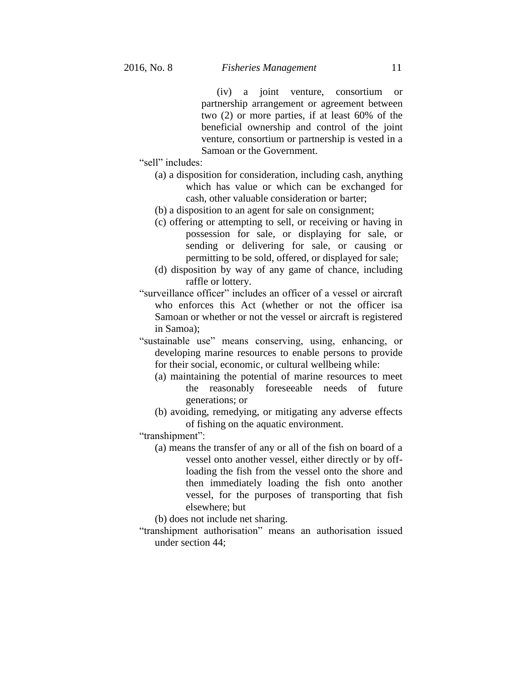(iv) a joint venture, consortium or partnership arrangement or agreement between two (2) or more parties, if at least 60% of the beneficial ownership and control of the joint venture, consortium or partnership is vested in a Samoan or the Government.

"sell" includes:

- (a) a disposition for consideration, including cash, anything which has value or which can be exchanged for cash, other valuable consideration or barter;
- (b) a disposition to an agent for sale on consignment;
- (c) offering or attempting to sell, or receiving or having in possession for sale, or displaying for sale, or sending or delivering for sale, or causing or permitting to be sold, offered, or displayed for sale;
- (d) disposition by way of any game of chance, including raffle or lottery.
- "surveillance officer" includes an officer of a vessel or aircraft who enforces this Act (whether or not the officer isa Samoan or whether or not the vessel or aircraft is registered in Samoa);
- "sustainable use" means conserving, using, enhancing, or developing marine resources to enable persons to provide for their social, economic, or cultural wellbeing while:
	- (a) maintaining the potential of marine resources to meet the reasonably foreseeable needs of future generations; or
	- (b) avoiding, remedying, or mitigating any adverse effects of fishing on the aquatic environment.

"transhipment":

(a) means the transfer of any or all of the fish on board of a vessel onto another vessel, either directly or by offloading the fish from the vessel onto the shore and then immediately loading the fish onto another vessel, for the purposes of transporting that fish elsewhere; but

(b) does not include net sharing.

"transhipment authorisation" means an authorisation issued under section 44;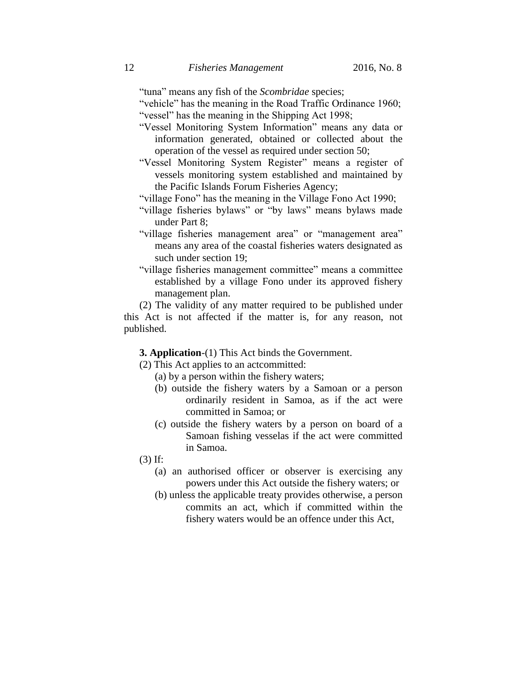"tuna" means any fish of the *Scombridae* species;

"vehicle" has the meaning in the Road Traffic Ordinance 1960; "vessel" has the meaning in the Shipping Act 1998;

- "Vessel Monitoring System Information" means any data or information generated, obtained or collected about the operation of the vessel as required under section 50;
- "Vessel Monitoring System Register" means a register of vessels monitoring system established and maintained by the Pacific Islands Forum Fisheries Agency;

"village Fono" has the meaning in the Village Fono Act 1990;

- "village fisheries bylaws" or "by laws" means bylaws made under Part 8;
- "village fisheries management area" or "management area" means any area of the coastal fisheries waters designated as such under section 19;
- "village fisheries management committee" means a committee established by a village Fono under its approved fishery management plan.

(2) The validity of any matter required to be published under this Act is not affected if the matter is, for any reason, not published.

**3. Application**-(1) This Act binds the Government.

(2) This Act applies to an actcommitted:

- (a) by a person within the fishery waters;
- (b) outside the fishery waters by a Samoan or a person ordinarily resident in Samoa, as if the act were committed in Samoa; or
- (c) outside the fishery waters by a person on board of a Samoan fishing vesselas if the act were committed in Samoa.

(3) If:

- (a) an authorised officer or observer is exercising any powers under this Act outside the fishery waters; or
- (b) unless the applicable treaty provides otherwise, a person commits an act, which if committed within the fishery waters would be an offence under this Act,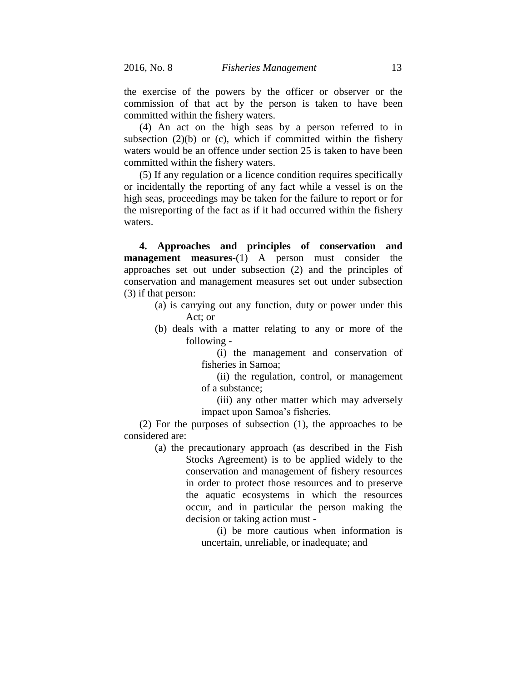the exercise of the powers by the officer or observer or the commission of that act by the person is taken to have been committed within the fishery waters.

(4) An act on the high seas by a person referred to in subsection  $(2)(b)$  or  $(c)$ , which if committed within the fishery waters would be an offence under section 25 is taken to have been committed within the fishery waters.

(5) If any regulation or a licence condition requires specifically or incidentally the reporting of any fact while a vessel is on the high seas, proceedings may be taken for the failure to report or for the misreporting of the fact as if it had occurred within the fishery waters.

**4. Approaches and principles of conservation and management measures**-(1) A person must consider the approaches set out under subsection (2) and the principles of conservation and management measures set out under subsection (3) if that person:

- (a) is carrying out any function, duty or power under this Act; or
- (b) deals with a matter relating to any or more of the following -

(i) the management and conservation of fisheries in Samoa;

(ii) the regulation, control, or management of a substance;

(iii) any other matter which may adversely impact upon Samoa's fisheries.

(2) For the purposes of subsection (1), the approaches to be considered are:

> (a) the precautionary approach (as described in the Fish Stocks Agreement) is to be applied widely to the conservation and management of fishery resources in order to protect those resources and to preserve the aquatic ecosystems in which the resources occur, and in particular the person making the decision or taking action must -

> > (i) be more cautious when information is uncertain, unreliable, or inadequate; and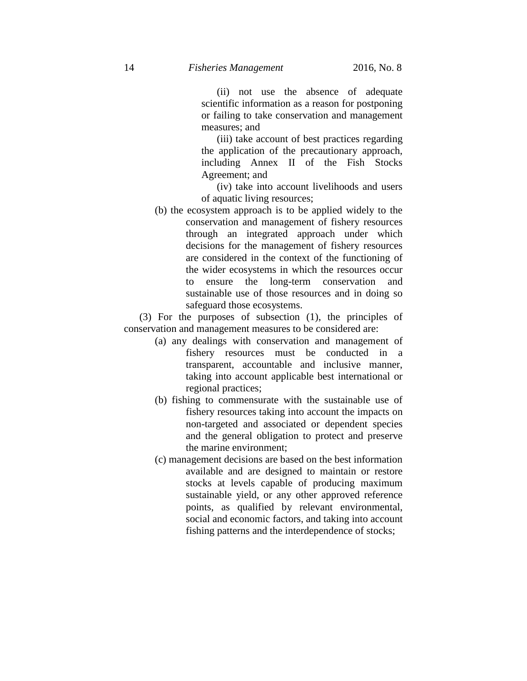(ii) not use the absence of adequate scientific information as a reason for postponing or failing to take conservation and management measures; and

(iii) take account of best practices regarding the application of the precautionary approach, including Annex II of the Fish Stocks Agreement; and

(iv) take into account livelihoods and users of aquatic living resources;

(b) the ecosystem approach is to be applied widely to the conservation and management of fishery resources through an integrated approach under which decisions for the management of fishery resources are considered in the context of the functioning of the wider ecosystems in which the resources occur to ensure the long-term conservation and sustainable use of those resources and in doing so safeguard those ecosystems.

(3) For the purposes of subsection (1), the principles of conservation and management measures to be considered are:

- (a) any dealings with conservation and management of fishery resources must be conducted in a transparent, accountable and inclusive manner, taking into account applicable best international or regional practices;
- (b) fishing to commensurate with the sustainable use of fishery resources taking into account the impacts on non-targeted and associated or dependent species and the general obligation to protect and preserve the marine environment;
- (c) management decisions are based on the best information available and are designed to maintain or restore stocks at levels capable of producing maximum sustainable yield, or any other approved reference points, as qualified by relevant environmental, social and economic factors, and taking into account fishing patterns and the interdependence of stocks;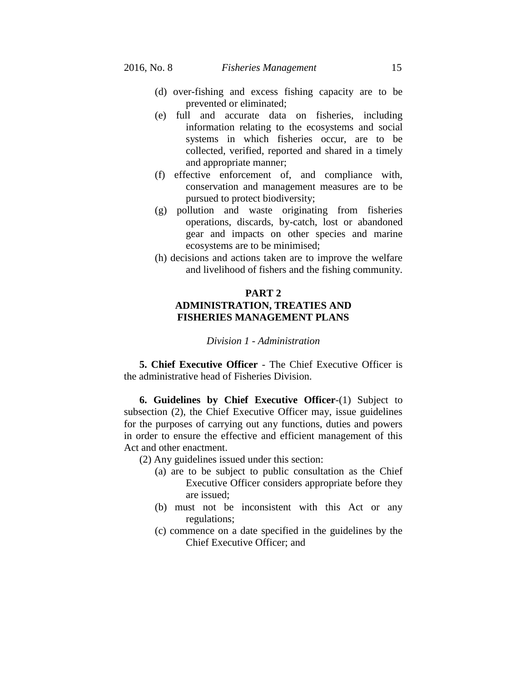- (d) over-fishing and excess fishing capacity are to be prevented or eliminated;
- (e) full and accurate data on fisheries, including information relating to the ecosystems and social systems in which fisheries occur, are to be collected, verified, reported and shared in a timely and appropriate manner;
- (f) effective enforcement of, and compliance with, conservation and management measures are to be pursued to protect biodiversity;
- (g) pollution and waste originating from fisheries operations, discards, by-catch, lost or abandoned gear and impacts on other species and marine ecosystems are to be minimised;
- (h) decisions and actions taken are to improve the welfare and livelihood of fishers and the fishing community.

# **PART 2 ADMINISTRATION, TREATIES AND FISHERIES MANAGEMENT PLANS**

## *Division 1 - Administration*

**5. Chief Executive Officer** - The Chief Executive Officer is the administrative head of Fisheries Division.

**6. Guidelines by Chief Executive Officer**-(1) Subject to subsection (2), the Chief Executive Officer may, issue guidelines for the purposes of carrying out any functions, duties and powers in order to ensure the effective and efficient management of this Act and other enactment.

(2) Any guidelines issued under this section:

- (a) are to be subject to public consultation as the Chief Executive Officer considers appropriate before they are issued;
- (b) must not be inconsistent with this Act or any regulations;
- (c) commence on a date specified in the guidelines by the Chief Executive Officer; and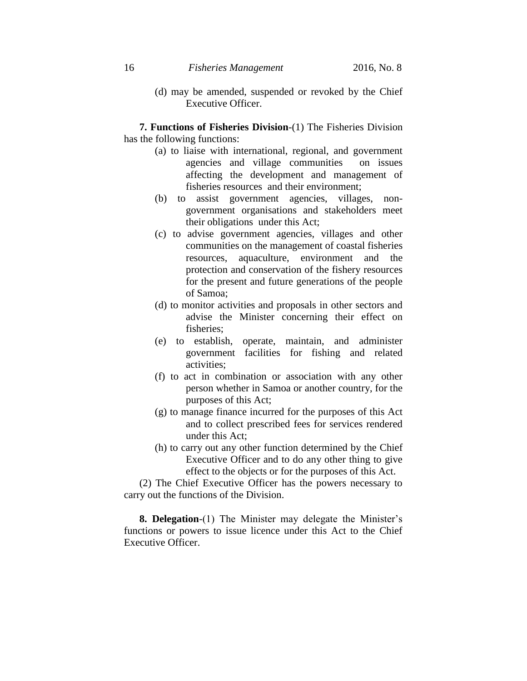(d) may be amended, suspended or revoked by the Chief Executive Officer.

**7. Functions of Fisheries Division**-(1) The Fisheries Division has the following functions:

- (a) to liaise with international, regional, and government agencies and village communities on issues affecting the development and management of fisheries resources and their environment;
- (b) to assist government agencies, villages, nongovernment organisations and stakeholders meet their obligations under this Act;
- (c) to advise government agencies, villages and other communities on the management of coastal fisheries resources, aquaculture, environment and the protection and conservation of the fishery resources for the present and future generations of the people of Samoa;
- (d) to monitor activities and proposals in other sectors and advise the Minister concerning their effect on fisheries;
- (e) to establish, operate, maintain, and administer government facilities for fishing and related activities;
- (f) to act in combination or association with any other person whether in Samoa or another country, for the purposes of this Act;
- (g) to manage finance incurred for the purposes of this Act and to collect prescribed fees for services rendered under this Act;
- (h) to carry out any other function determined by the Chief Executive Officer and to do any other thing to give effect to the objects or for the purposes of this Act.

(2) The Chief Executive Officer has the powers necessary to carry out the functions of the Division.

**8. Delegation**-(1) The Minister may delegate the Minister's functions or powers to issue licence under this Act to the Chief Executive Officer.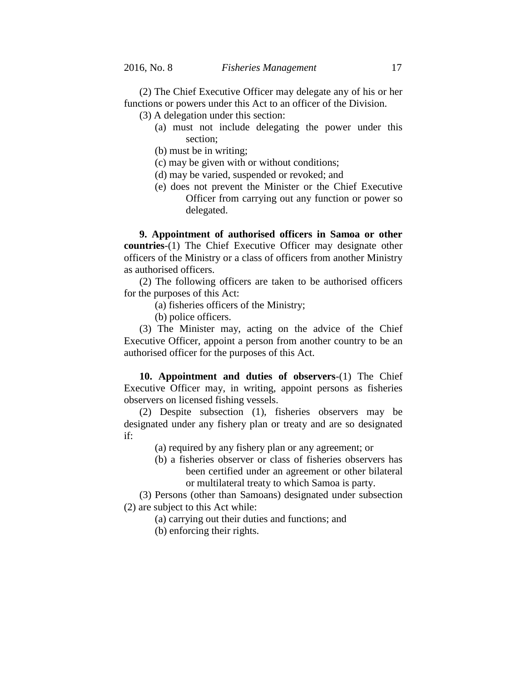(2) The Chief Executive Officer may delegate any of his or her functions or powers under this Act to an officer of the Division.

(3) A delegation under this section:

- (a) must not include delegating the power under this section;
- (b) must be in writing;
- (c) may be given with or without conditions;
- (d) may be varied, suspended or revoked; and
- (e) does not prevent the Minister or the Chief Executive Officer from carrying out any function or power so delegated.

**9. Appointment of authorised officers in Samoa or other countries**-(1) The Chief Executive Officer may designate other officers of the Ministry or a class of officers from another Ministry as authorised officers.

(2) The following officers are taken to be authorised officers for the purposes of this Act:

(a) fisheries officers of the Ministry;

(b) police officers.

(3) The Minister may, acting on the advice of the Chief Executive Officer, appoint a person from another country to be an authorised officer for the purposes of this Act.

**10. Appointment and duties of observers**-(1) The Chief Executive Officer may, in writing, appoint persons as fisheries observers on licensed fishing vessels.

(2) Despite subsection (1), fisheries observers may be designated under any fishery plan or treaty and are so designated if:

(a) required by any fishery plan or any agreement; or

(b) a fisheries observer or class of fisheries observers has been certified under an agreement or other bilateral or multilateral treaty to which Samoa is party.

(3) Persons (other than Samoans) designated under subsection (2) are subject to this Act while:

(a) carrying out their duties and functions; and

(b) enforcing their rights.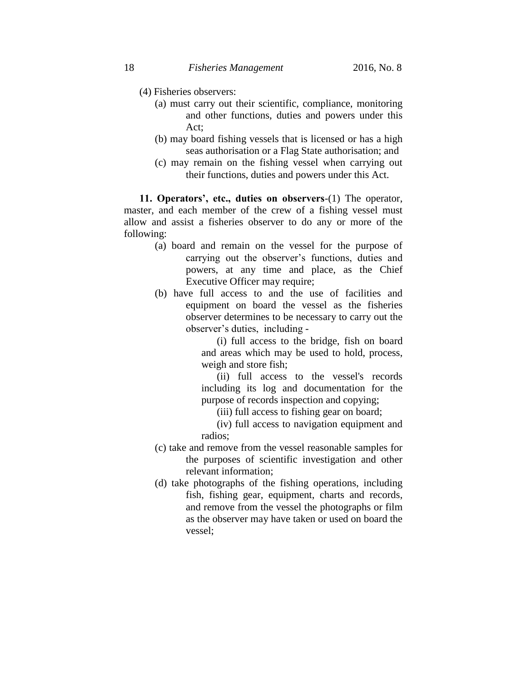- (4) Fisheries observers:
	- (a) must carry out their scientific, compliance, monitoring and other functions, duties and powers under this Act;
	- (b) may board fishing vessels that is licensed or has a high seas authorisation or a Flag State authorisation; and
	- (c) may remain on the fishing vessel when carrying out their functions, duties and powers under this Act.

**11. Operators', etc., duties on observers**-(1) The operator, master, and each member of the crew of a fishing vessel must allow and assist a fisheries observer to do any or more of the following:

- (a) board and remain on the vessel for the purpose of carrying out the observer's functions, duties and powers, at any time and place, as the Chief Executive Officer may require;
- (b) have full access to and the use of facilities and equipment on board the vessel as the fisheries observer determines to be necessary to carry out the observer's duties, including -

(i) full access to the bridge, fish on board and areas which may be used to hold, process, weigh and store fish;

(ii) full access to the vessel's records including its log and documentation for the purpose of records inspection and copying;

(iii) full access to fishing gear on board;

- (iv) full access to navigation equipment and radios;
- (c) take and remove from the vessel reasonable samples for the purposes of scientific investigation and other relevant information;
- (d) take photographs of the fishing operations, including fish, fishing gear, equipment, charts and records, and remove from the vessel the photographs or film as the observer may have taken or used on board the vessel;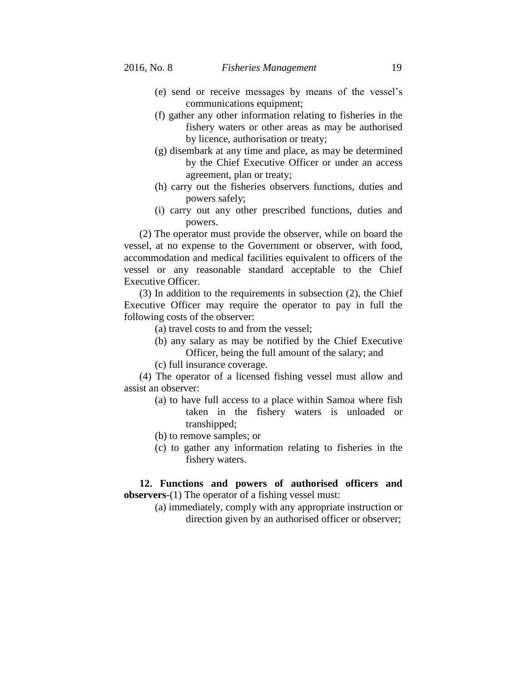- (e) send or receive messages by means of the vessel's communications equipment;
- (f) gather any other information relating to fisheries in the fishery waters or other areas as may be authorised by licence, authorisation or treaty;
- (g) disembark at any time and place, as may be determined by the Chief Executive Officer or under an access agreement, plan or treaty;
- (h) carry out the fisheries observers functions, duties and powers safely;
- (i) carry out any other prescribed functions, duties and powers.

(2) The operator must provide the observer, while on board the vessel, at no expense to the Government or observer, with food, accommodation and medical facilities equivalent to officers of the vessel or any reasonable standard acceptable to the Chief Executive Officer.

(3) In addition to the requirements in subsection (2), the Chief Executive Officer may require the operator to pay in full the following costs of the observer:

(a) travel costs to and from the vessel;

- (b) any salary as may be notified by the Chief Executive Officer, being the full amount of the salary; and
- (c) full insurance coverage.

(4) The operator of a licensed fishing vessel must allow and assist an observer:

- (a) to have full access to a place within Samoa where fish taken in the fishery waters is unloaded or transhipped;
- (b) to remove samples; or
- (c) to gather any information relating to fisheries in the fishery waters.

**12. Functions and powers of authorised officers and observers**-(1) The operator of a fishing vessel must:

> (a) immediately, comply with any appropriate instruction or direction given by an authorised officer or observer;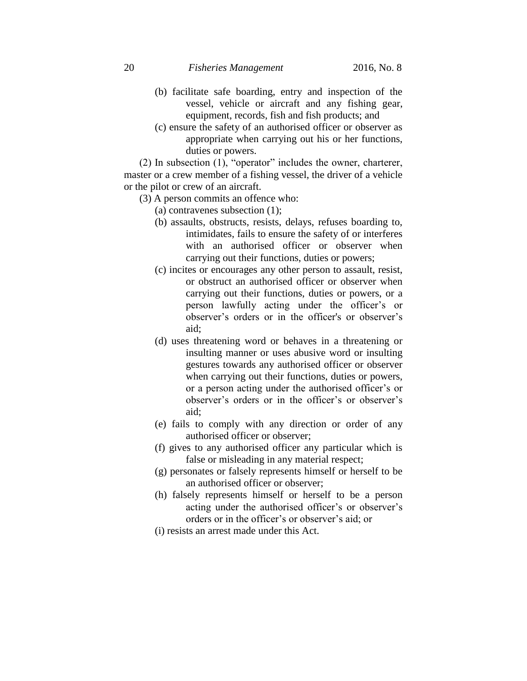20 *Fisheries Management* 2016, No. 8

- (b) facilitate safe boarding, entry and inspection of the vessel, vehicle or aircraft and any fishing gear, equipment, records, fish and fish products; and
- (c) ensure the safety of an authorised officer or observer as appropriate when carrying out his or her functions, duties or powers.

(2) In subsection (1), "operator" includes the owner, charterer, master or a crew member of a fishing vessel, the driver of a vehicle or the pilot or crew of an aircraft.

- (3) A person commits an offence who:
	- (a) contravenes subsection (1);
	- (b) assaults, obstructs, resists, delays, refuses boarding to, intimidates, fails to ensure the safety of or interferes with an authorised officer or observer when carrying out their functions, duties or powers;
	- (c) incites or encourages any other person to assault, resist, or obstruct an authorised officer or observer when carrying out their functions, duties or powers, or a person lawfully acting under the officer's or observer's orders or in the officer's or observer's aid;
	- (d) uses threatening word or behaves in a threatening or insulting manner or uses abusive word or insulting gestures towards any authorised officer or observer when carrying out their functions, duties or powers, or a person acting under the authorised officer's or observer's orders or in the officer's or observer's aid;
	- (e) fails to comply with any direction or order of any authorised officer or observer;
	- (f) gives to any authorised officer any particular which is false or misleading in any material respect;
	- (g) personates or falsely represents himself or herself to be an authorised officer or observer;
	- (h) falsely represents himself or herself to be a person acting under the authorised officer's or observer's orders or in the officer's or observer's aid; or
	- (i) resists an arrest made under this Act.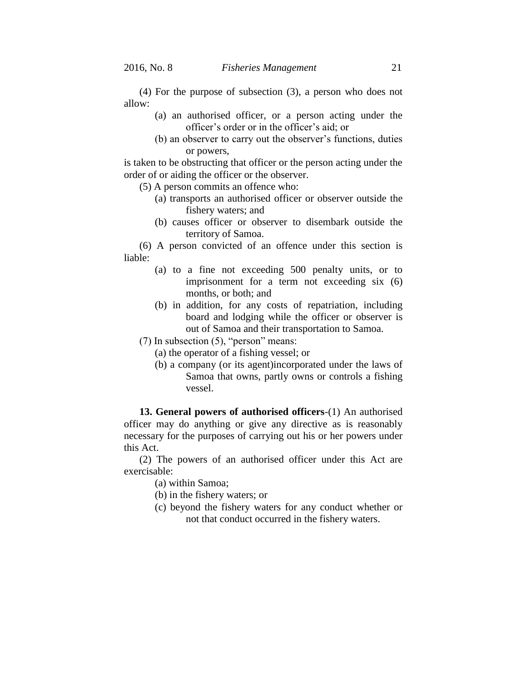(4) For the purpose of subsection (3), a person who does not allow:

- (a) an authorised officer, or a person acting under the officer's order or in the officer's aid; or
- (b) an observer to carry out the observer's functions, duties or powers,

is taken to be obstructing that officer or the person acting under the order of or aiding the officer or the observer.

(5) A person commits an offence who:

- (a) transports an authorised officer or observer outside the fishery waters; and
- (b) causes officer or observer to disembark outside the territory of Samoa.

(6) A person convicted of an offence under this section is liable:

- (a) to a fine not exceeding 500 penalty units, or to imprisonment for a term not exceeding six (6) months, or both; and
- (b) in addition, for any costs of repatriation, including board and lodging while the officer or observer is out of Samoa and their transportation to Samoa.
- (7) In subsection (5), "person" means:
	- (a) the operator of a fishing vessel; or
	- (b) a company (or its agent)incorporated under the laws of Samoa that owns, partly owns or controls a fishing vessel.

**13. General powers of authorised officers**-(1) An authorised officer may do anything or give any directive as is reasonably necessary for the purposes of carrying out his or her powers under this Act.

(2) The powers of an authorised officer under this Act are exercisable:

(a) within Samoa;

- (b) in the fishery waters; or
- (c) beyond the fishery waters for any conduct whether or not that conduct occurred in the fishery waters.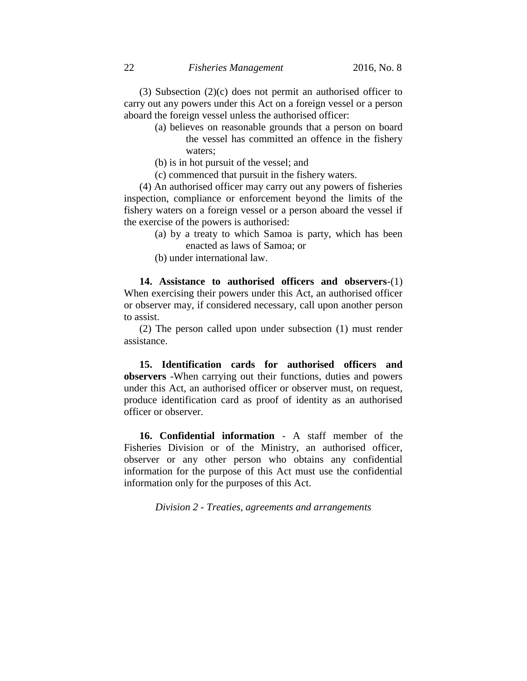(3) Subsection (2)(c) does not permit an authorised officer to carry out any powers under this Act on a foreign vessel or a person aboard the foreign vessel unless the authorised officer:

- (a) believes on reasonable grounds that a person on board the vessel has committed an offence in the fishery waters;
- (b) is in hot pursuit of the vessel; and
- (c) commenced that pursuit in the fishery waters.

(4) An authorised officer may carry out any powers of fisheries inspection, compliance or enforcement beyond the limits of the fishery waters on a foreign vessel or a person aboard the vessel if the exercise of the powers is authorised:

- (a) by a treaty to which Samoa is party, which has been enacted as laws of Samoa; or
- (b) under international law.

**14. Assistance to authorised officers and observers**-(1) When exercising their powers under this Act, an authorised officer or observer may, if considered necessary, call upon another person to assist.

(2) The person called upon under subsection (1) must render assistance.

**15. Identification cards for authorised officers and observers** -When carrying out their functions, duties and powers under this Act, an authorised officer or observer must, on request, produce identification card as proof of identity as an authorised officer or observer.

**16. Confidential information** - A staff member of the Fisheries Division or of the Ministry, an authorised officer, observer or any other person who obtains any confidential information for the purpose of this Act must use the confidential information only for the purposes of this Act.

*Division 2 - Treaties, agreements and arrangements*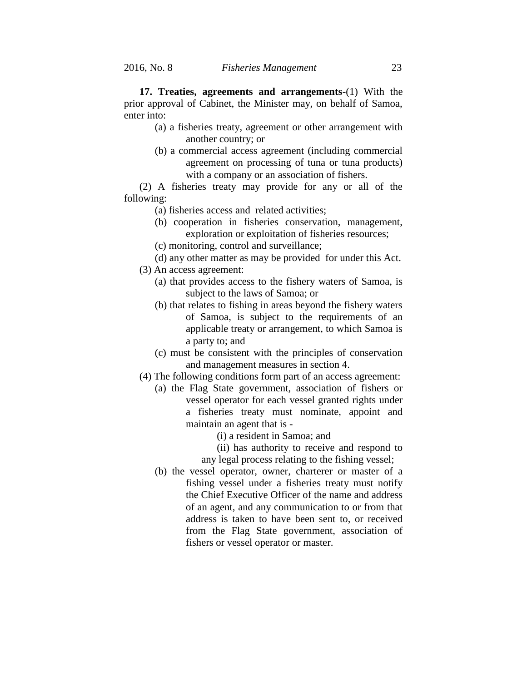**17. Treaties, agreements and arrangements**-(1) With the prior approval of Cabinet, the Minister may, on behalf of Samoa, enter into:

- (a) a fisheries treaty, agreement or other arrangement with another country; or
- (b) a commercial access agreement (including commercial agreement on processing of tuna or tuna products) with a company or an association of fishers.

(2) A fisheries treaty may provide for any or all of the following:

- (a) fisheries access and related activities;
- (b) cooperation in fisheries conservation, management, exploration or exploitation of fisheries resources;
- (c) monitoring, control and surveillance;
- (d) any other matter as may be provided for under this Act.
- (3) An access agreement:
	- (a) that provides access to the fishery waters of Samoa, is subject to the laws of Samoa; or
	- (b) that relates to fishing in areas beyond the fishery waters of Samoa, is subject to the requirements of an applicable treaty or arrangement, to which Samoa is a party to; and
	- (c) must be consistent with the principles of conservation and management measures in section 4.
- (4) The following conditions form part of an access agreement:
	- (a) the Flag State government, association of fishers or vessel operator for each vessel granted rights under a fisheries treaty must nominate, appoint and maintain an agent that is -
		- (i) a resident in Samoa; and
		- (ii) has authority to receive and respond to
		- any legal process relating to the fishing vessel;
	- (b) the vessel operator, owner, charterer or master of a fishing vessel under a fisheries treaty must notify the Chief Executive Officer of the name and address of an agent, and any communication to or from that address is taken to have been sent to, or received from the Flag State government, association of fishers or vessel operator or master.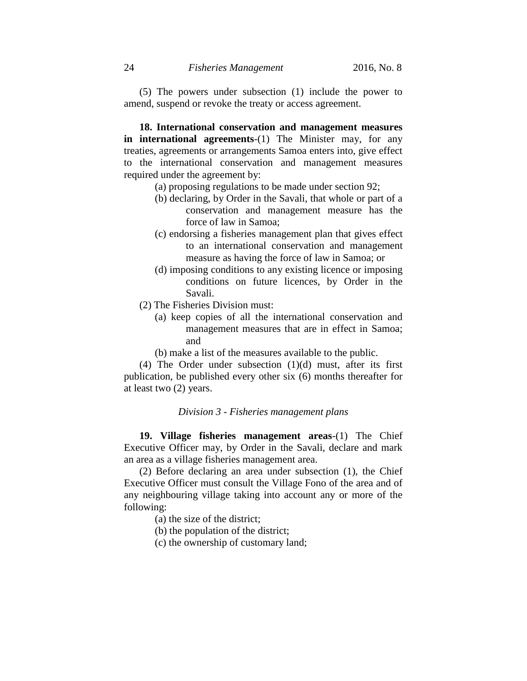(5) The powers under subsection (1) include the power to amend, suspend or revoke the treaty or access agreement.

**18. International conservation and management measures in international agreements**-(1) The Minister may, for any treaties, agreements or arrangements Samoa enters into, give effect to the international conservation and management measures required under the agreement by:

- (a) proposing regulations to be made under section 92;
- (b) declaring, by Order in the Savali, that whole or part of a conservation and management measure has the force of law in Samoa;
- (c) endorsing a fisheries management plan that gives effect to an international conservation and management measure as having the force of law in Samoa; or
- (d) imposing conditions to any existing licence or imposing conditions on future licences, by Order in the Savali.
- (2) The Fisheries Division must:
	- (a) keep copies of all the international conservation and management measures that are in effect in Samoa; and
	- (b) make a list of the measures available to the public.

(4) The Order under subsection  $(1)(d)$  must, after its first publication, be published every other six (6) months thereafter for at least two (2) years.

# *Division 3 - Fisheries management plans*

**19. Village fisheries management areas**-(1) The Chief Executive Officer may, by Order in the Savali, declare and mark an area as a village fisheries management area.

(2) Before declaring an area under subsection (1), the Chief Executive Officer must consult the Village Fono of the area and of any neighbouring village taking into account any or more of the following:

- (a) the size of the district;
- (b) the population of the district;
- (c) the ownership of customary land;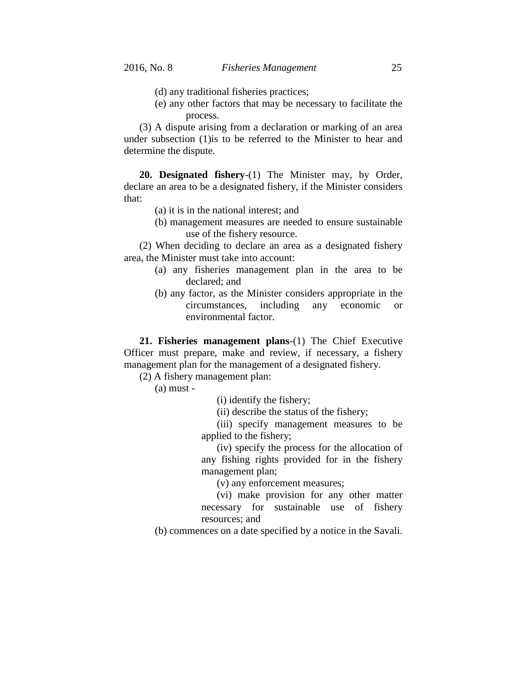- (d) any traditional fisheries practices;
- (e) any other factors that may be necessary to facilitate the process.

(3) A dispute arising from a declaration or marking of an area under subsection (1)is to be referred to the Minister to hear and determine the dispute.

**20. Designated fishery**-(1) The Minister may, by Order, declare an area to be a designated fishery, if the Minister considers that:

- (a) it is in the national interest; and
- (b) management measures are needed to ensure sustainable use of the fishery resource.

(2) When deciding to declare an area as a designated fishery area, the Minister must take into account:

- (a) any fisheries management plan in the area to be declared; and
- (b) any factor, as the Minister considers appropriate in the circumstances, including any economic or environmental factor.

**21. Fisheries management plans**-(1) The Chief Executive Officer must prepare, make and review, if necessary, a fishery management plan for the management of a designated fishery.

(2) A fishery management plan:

(a) must -

(i) identify the fishery;

(ii) describe the status of the fishery;

(iii) specify management measures to be applied to the fishery;

(iv) specify the process for the allocation of any fishing rights provided for in the fishery management plan;

(v) any enforcement measures;

(vi) make provision for any other matter necessary for sustainable use of fishery resources; and

(b) commences on a date specified by a notice in the Savali.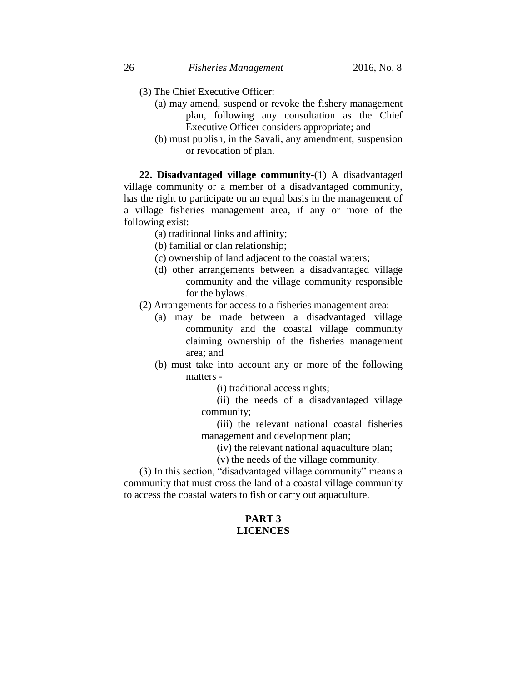- (3) The Chief Executive Officer:
	- (a) may amend, suspend or revoke the fishery management plan, following any consultation as the Chief Executive Officer considers appropriate; and
	- (b) must publish, in the Savali, any amendment, suspension or revocation of plan.

**22. Disadvantaged village community**-(1) A disadvantaged village community or a member of a disadvantaged community, has the right to participate on an equal basis in the management of a village fisheries management area, if any or more of the following exist:

(a) traditional links and affinity;

(b) familial or clan relationship;

- (c) ownership of land adjacent to the coastal waters;
- (d) other arrangements between a disadvantaged village community and the village community responsible for the bylaws.
- (2) Arrangements for access to a fisheries management area:
	- (a) may be made between a disadvantaged village community and the coastal village community claiming ownership of the fisheries management area; and
	- (b) must take into account any or more of the following matters -

(i) traditional access rights;

(ii) the needs of a disadvantaged village community;

(iii) the relevant national coastal fisheries management and development plan;

(iv) the relevant national aquaculture plan;

(v) the needs of the village community.

(3) In this section, "disadvantaged village community" means a community that must cross the land of a coastal village community to access the coastal waters to fish or carry out aquaculture.

# **PART 3 LICENCES**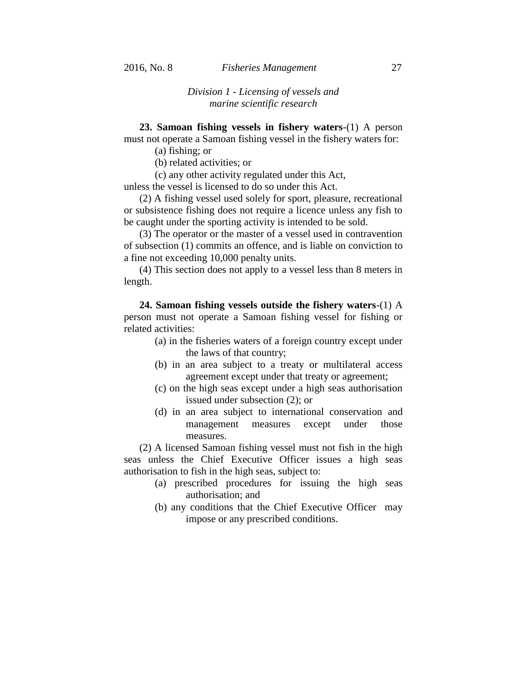# *Division 1 - Licensing of vessels and marine scientific research*

**23. Samoan fishing vessels in fishery waters**-(1) A person

must not operate a Samoan fishing vessel in the fishery waters for:

(a) fishing; or

(b) related activities; or

(c) any other activity regulated under this Act,

unless the vessel is licensed to do so under this Act.

(2) A fishing vessel used solely for sport, pleasure, recreational or subsistence fishing does not require a licence unless any fish to be caught under the sporting activity is intended to be sold.

(3) The operator or the master of a vessel used in contravention of subsection (1) commits an offence, and is liable on conviction to a fine not exceeding 10,000 penalty units.

(4) This section does not apply to a vessel less than 8 meters in length.

**24. Samoan fishing vessels outside the fishery waters**-(1) A person must not operate a Samoan fishing vessel for fishing or related activities:

- (a) in the fisheries waters of a foreign country except under the laws of that country;
- (b) in an area subject to a treaty or multilateral access agreement except under that treaty or agreement;
- (c) on the high seas except under a high seas authorisation issued under subsection (2); or
- (d) in an area subject to international conservation and management measures except under those measures.

(2) A licensed Samoan fishing vessel must not fish in the high seas unless the Chief Executive Officer issues a high seas authorisation to fish in the high seas, subject to:

- (a) prescribed procedures for issuing the high seas authorisation; and
- (b) any conditions that the Chief Executive Officer may impose or any prescribed conditions.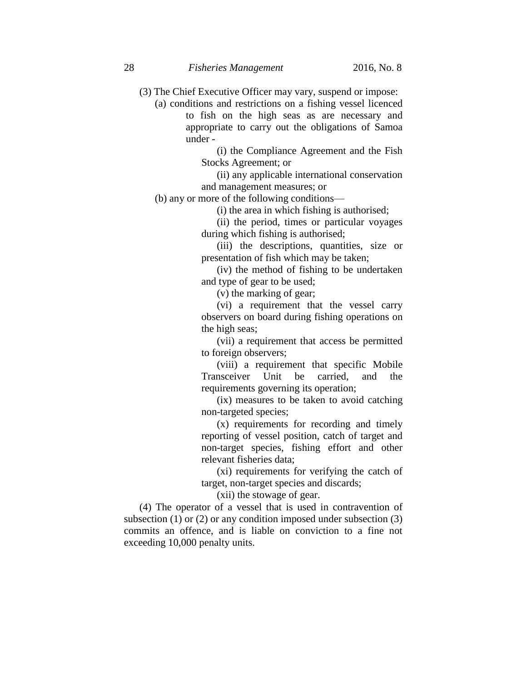- (3) The Chief Executive Officer may vary, suspend or impose:
	- (a) conditions and restrictions on a fishing vessel licenced to fish on the high seas as are necessary and appropriate to carry out the obligations of Samoa under -

(i) the Compliance Agreement and the Fish Stocks Agreement; or

(ii) any applicable international conservation and management measures; or

(b) any or more of the following conditions—

(i) the area in which fishing is authorised;

(ii) the period, times or particular voyages during which fishing is authorised;

(iii) the descriptions, quantities, size or presentation of fish which may be taken;

(iv) the method of fishing to be undertaken and type of gear to be used;

(v) the marking of gear;

(vi) a requirement that the vessel carry observers on board during fishing operations on the high seas;

(vii) a requirement that access be permitted to foreign observers;

(viii) a requirement that specific Mobile Transceiver Unit be carried, and the requirements governing its operation;

(ix) measures to be taken to avoid catching non-targeted species;

(x) requirements for recording and timely reporting of vessel position, catch of target and non-target species, fishing effort and other relevant fisheries data;

(xi) requirements for verifying the catch of target, non-target species and discards;

(xii) the stowage of gear.

(4) The operator of a vessel that is used in contravention of subsection  $(1)$  or  $(2)$  or any condition imposed under subsection  $(3)$ commits an offence, and is liable on conviction to a fine not exceeding 10,000 penalty units.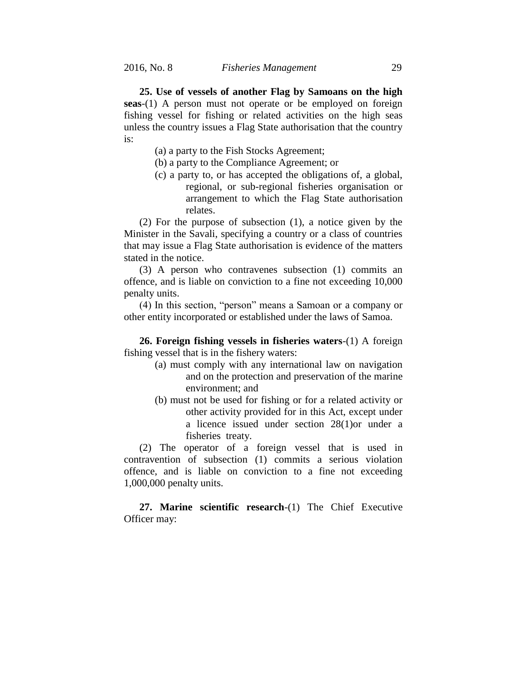**25. Use of vessels of another Flag by Samoans on the high seas**-(1) A person must not operate or be employed on foreign fishing vessel for fishing or related activities on the high seas unless the country issues a Flag State authorisation that the country is:

- (a) a party to the Fish Stocks Agreement;
- (b) a party to the Compliance Agreement; or
- (c) a party to, or has accepted the obligations of, a global, regional, or sub-regional fisheries organisation or arrangement to which the Flag State authorisation relates.

(2) For the purpose of subsection (1), a notice given by the Minister in the Savali, specifying a country or a class of countries that may issue a Flag State authorisation is evidence of the matters stated in the notice.

(3) A person who contravenes subsection (1) commits an offence, and is liable on conviction to a fine not exceeding 10,000 penalty units.

(4) In this section, "person" means a Samoan or a company or other entity incorporated or established under the laws of Samoa.

**26. Foreign fishing vessels in fisheries waters**-(1) A foreign fishing vessel that is in the fishery waters:

- (a) must comply with any international law on navigation and on the protection and preservation of the marine environment; and
- (b) must not be used for fishing or for a related activity or other activity provided for in this Act, except under a licence issued under section 28(1)or under a fisheries treaty.

(2) The operator of a foreign vessel that is used in contravention of subsection (1) commits a serious violation offence, and is liable on conviction to a fine not exceeding 1,000,000 penalty units.

**27. Marine scientific research**-(1) The Chief Executive Officer may: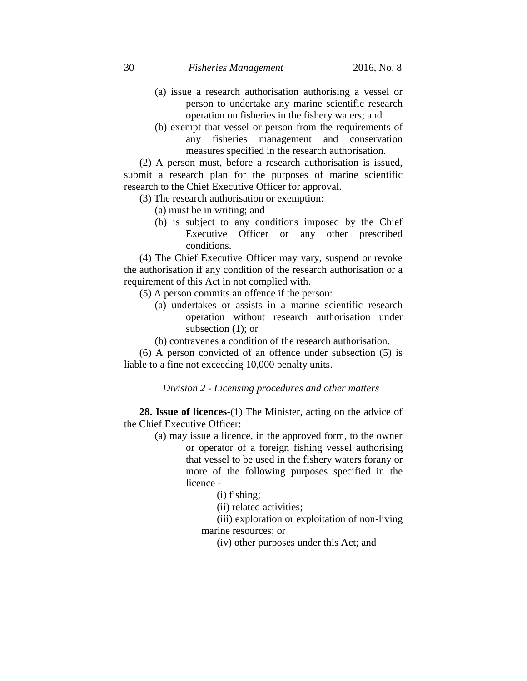# 30 *Fisheries Management* 2016, No. 8

- (a) issue a research authorisation authorising a vessel or person to undertake any marine scientific research operation on fisheries in the fishery waters; and
- (b) exempt that vessel or person from the requirements of any fisheries management and conservation measures specified in the research authorisation.

(2) A person must, before a research authorisation is issued, submit a research plan for the purposes of marine scientific research to the Chief Executive Officer for approval.

- (3) The research authorisation or exemption:
	- (a) must be in writing; and
	- (b) is subject to any conditions imposed by the Chief Executive Officer or any other prescribed conditions.

(4) The Chief Executive Officer may vary, suspend or revoke the authorisation if any condition of the research authorisation or a requirement of this Act in not complied with.

(5) A person commits an offence if the person:

- (a) undertakes or assists in a marine scientific research operation without research authorisation under subsection (1); or
- (b) contravenes a condition of the research authorisation.

(6) A person convicted of an offence under subsection (5) is liable to a fine not exceeding 10,000 penalty units.

*Division 2 - Licensing procedures and other matters*

**28. Issue of licences**-(1) The Minister, acting on the advice of the Chief Executive Officer:

> (a) may issue a licence, in the approved form, to the owner or operator of a foreign fishing vessel authorising that vessel to be used in the fishery waters forany or more of the following purposes specified in the licence -

> > (i) fishing;

(ii) related activities;

(iii) exploration or exploitation of non-living marine resources; or

(iv) other purposes under this Act; and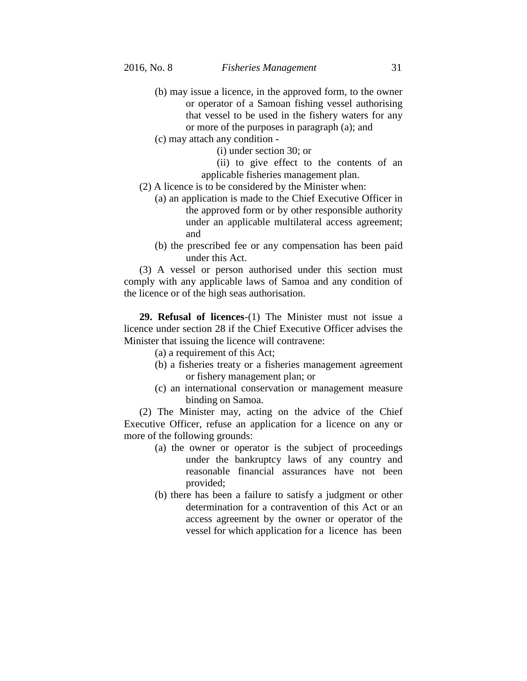- (b) may issue a licence, in the approved form, to the owner or operator of a Samoan fishing vessel authorising that vessel to be used in the fishery waters for any or more of the purposes in paragraph (a); and
- (c) may attach any condition
	- (i) under section 30; or
	- (ii) to give effect to the contents of an applicable fisheries management plan.
- (2) A licence is to be considered by the Minister when:
	- (a) an application is made to the Chief Executive Officer in the approved form or by other responsible authority under an applicable multilateral access agreement; and
	- (b) the prescribed fee or any compensation has been paid under this Act.

(3) A vessel or person authorised under this section must comply with any applicable laws of Samoa and any condition of the licence or of the high seas authorisation.

**29. Refusal of licences**-(1) The Minister must not issue a licence under section 28 if the Chief Executive Officer advises the Minister that issuing the licence will contravene:

(a) a requirement of this Act;

- (b) a fisheries treaty or a fisheries management agreement or fishery management plan; or
- (c) an international conservation or management measure binding on Samoa.

(2) The Minister may, acting on the advice of the Chief Executive Officer, refuse an application for a licence on any or more of the following grounds:

- (a) the owner or operator is the subject of proceedings under the bankruptcy laws of any country and reasonable financial assurances have not been provided;
- (b) there has been a failure to satisfy a judgment or other determination for a contravention of this Act or an access agreement by the owner or operator of the vessel for which application for a licence has been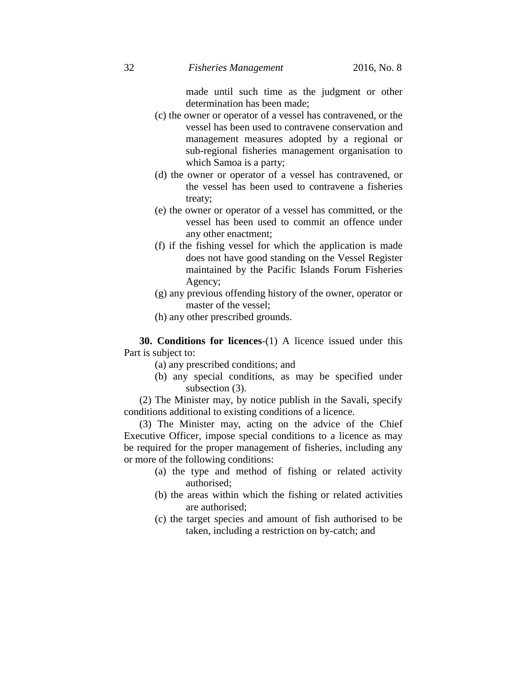made until such time as the judgment or other determination has been made;

- (c) the owner or operator of a vessel has contravened, or the vessel has been used to contravene conservation and management measures adopted by a regional or sub-regional fisheries management organisation to which Samoa is a party;
- (d) the owner or operator of a vessel has contravened, or the vessel has been used to contravene a fisheries treaty;
- (e) the owner or operator of a vessel has committed, or the vessel has been used to commit an offence under any other enactment;
- (f) if the fishing vessel for which the application is made does not have good standing on the Vessel Register maintained by the Pacific Islands Forum Fisheries Agency;
- (g) any previous offending history of the owner, operator or master of the vessel;
- (h) any other prescribed grounds.

**30. Conditions for licences**-(1) A licence issued under this Part is subject to:

- (a) any prescribed conditions; and
- (b) any special conditions, as may be specified under subsection (3).

(2) The Minister may, by notice publish in the Savali, specify conditions additional to existing conditions of a licence.

(3) The Minister may, acting on the advice of the Chief Executive Officer, impose special conditions to a licence as may be required for the proper management of fisheries, including any or more of the following conditions:

- (a) the type and method of fishing or related activity authorised;
- (b) the areas within which the fishing or related activities are authorised;
- (c) the target species and amount of fish authorised to be taken, including a restriction on by-catch; and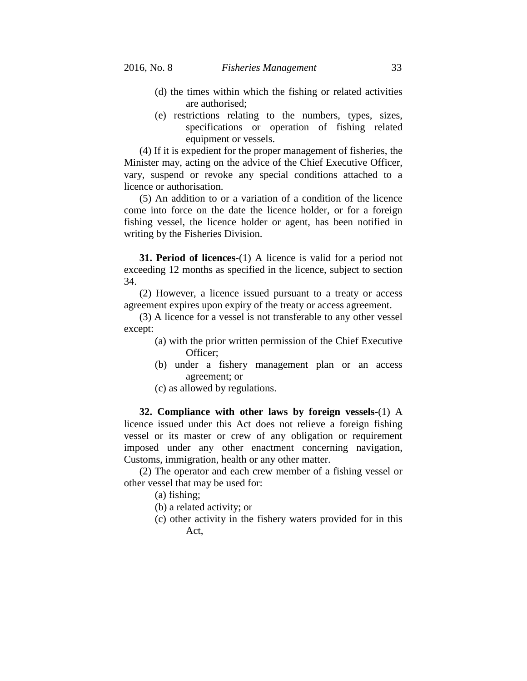- (d) the times within which the fishing or related activities are authorised;
- (e) restrictions relating to the numbers, types, sizes, specifications or operation of fishing related equipment or vessels.

(4) If it is expedient for the proper management of fisheries, the Minister may, acting on the advice of the Chief Executive Officer, vary, suspend or revoke any special conditions attached to a licence or authorisation.

(5) An addition to or a variation of a condition of the licence come into force on the date the licence holder, or for a foreign fishing vessel, the licence holder or agent, has been notified in writing by the Fisheries Division.

**31. Period of licences**-(1) A licence is valid for a period not exceeding 12 months as specified in the licence, subject to section 34.

(2) However, a licence issued pursuant to a treaty or access agreement expires upon expiry of the treaty or access agreement.

(3) A licence for a vessel is not transferable to any other vessel except:

- (a) with the prior written permission of the Chief Executive Officer;
- (b) under a fishery management plan or an access agreement; or
- (c) as allowed by regulations.

**32. Compliance with other laws by foreign vessels**-(1) A licence issued under this Act does not relieve a foreign fishing vessel or its master or crew of any obligation or requirement imposed under any other enactment concerning navigation, Customs, immigration, health or any other matter.

(2) The operator and each crew member of a fishing vessel or other vessel that may be used for:

(a) fishing;

- (b) a related activity; or
- (c) other activity in the fishery waters provided for in this Act,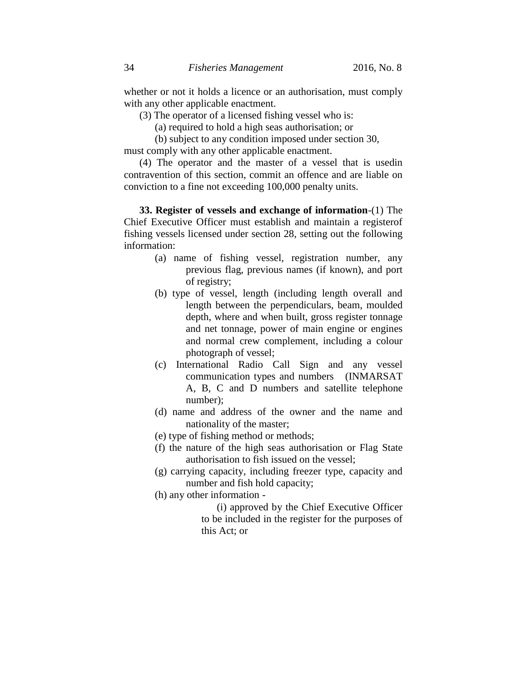whether or not it holds a licence or an authorisation, must comply with any other applicable enactment.

- (3) The operator of a licensed fishing vessel who is:
	- (a) required to hold a high seas authorisation; or

(b) subject to any condition imposed under section 30,

must comply with any other applicable enactment.

(4) The operator and the master of a vessel that is usedin contravention of this section, commit an offence and are liable on conviction to a fine not exceeding 100,000 penalty units.

**33. Register of vessels and exchange of information**-(1) The Chief Executive Officer must establish and maintain a registerof fishing vessels licensed under section 28, setting out the following information:

- (a) name of fishing vessel, registration number, any previous flag, previous names (if known), and port of registry;
- (b) type of vessel, length (including length overall and length between the perpendiculars, beam, moulded depth, where and when built, gross register tonnage and net tonnage, power of main engine or engines and normal crew complement, including a colour photograph of vessel;
- (c) International Radio Call Sign and any vessel communication types and numbers (INMARSAT A, B, C and D numbers and satellite telephone number);
- (d) name and address of the owner and the name and nationality of the master;
- (e) type of fishing method or methods;
- (f) the nature of the high seas authorisation or Flag State authorisation to fish issued on the vessel;
- (g) carrying capacity, including freezer type, capacity and number and fish hold capacity;
- (h) any other information
	- (i) approved by the Chief Executive Officer to be included in the register for the purposes of this Act; or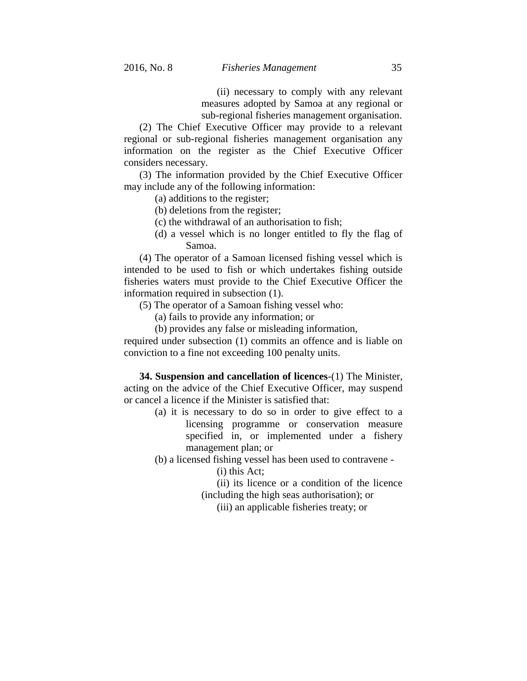(ii) necessary to comply with any relevant measures adopted by Samoa at any regional or sub-regional fisheries management organisation.

(2) The Chief Executive Officer may provide to a relevant regional or sub-regional fisheries management organisation any information on the register as the Chief Executive Officer considers necessary.

(3) The information provided by the Chief Executive Officer may include any of the following information:

(a) additions to the register;

- (b) deletions from the register;
- (c) the withdrawal of an authorisation to fish;
- (d) a vessel which is no longer entitled to fly the flag of Samoa.

(4) The operator of a Samoan licensed fishing vessel which is intended to be used to fish or which undertakes fishing outside fisheries waters must provide to the Chief Executive Officer the information required in subsection (1).

(5) The operator of a Samoan fishing vessel who:

- (a) fails to provide any information; or
- (b) provides any false or misleading information,

required under subsection (1) commits an offence and is liable on conviction to a fine not exceeding 100 penalty units.

**34. Suspension and cancellation of licences**-(1) The Minister, acting on the advice of the Chief Executive Officer, may suspend or cancel a licence if the Minister is satisfied that:

> (a) it is necessary to do so in order to give effect to a licensing programme or conservation measure specified in, or implemented under a fishery management plan; or

(b) a licensed fishing vessel has been used to contravene -

(i) this Act;

(ii) its licence or a condition of the licence

(including the high seas authorisation); or

(iii) an applicable fisheries treaty; or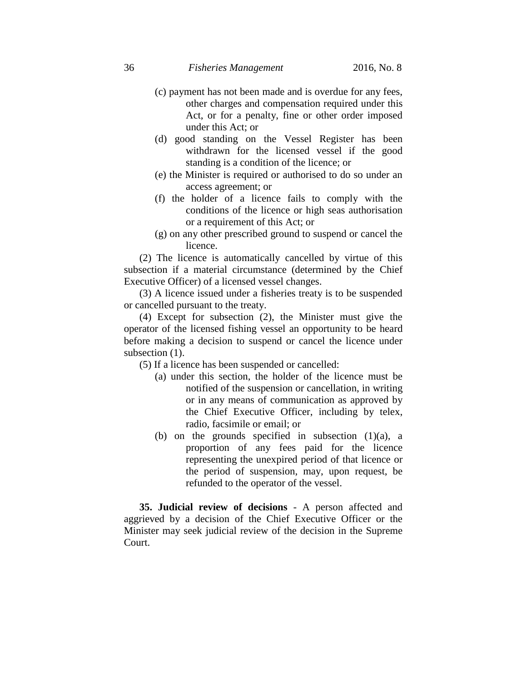- (c) payment has not been made and is overdue for any fees, other charges and compensation required under this Act, or for a penalty, fine or other order imposed under this Act; or
- (d) good standing on the Vessel Register has been withdrawn for the licensed vessel if the good standing is a condition of the licence; or
- (e) the Minister is required or authorised to do so under an access agreement; or
- (f) the holder of a licence fails to comply with the conditions of the licence or high seas authorisation or a requirement of this Act; or
- (g) on any other prescribed ground to suspend or cancel the licence.

(2) The licence is automatically cancelled by virtue of this subsection if a material circumstance (determined by the Chief Executive Officer) of a licensed vessel changes.

(3) A licence issued under a fisheries treaty is to be suspended or cancelled pursuant to the treaty.

(4) Except for subsection (2), the Minister must give the operator of the licensed fishing vessel an opportunity to be heard before making a decision to suspend or cancel the licence under subsection  $(1)$ .

(5) If a licence has been suspended or cancelled:

- (a) under this section, the holder of the licence must be notified of the suspension or cancellation, in writing or in any means of communication as approved by the Chief Executive Officer, including by telex, radio, facsimile or email; or
- (b) on the grounds specified in subsection  $(1)(a)$ , a proportion of any fees paid for the licence representing the unexpired period of that licence or the period of suspension, may, upon request, be refunded to the operator of the vessel.

**35. Judicial review of decisions** - A person affected and aggrieved by a decision of the Chief Executive Officer or the Minister may seek judicial review of the decision in the Supreme Court.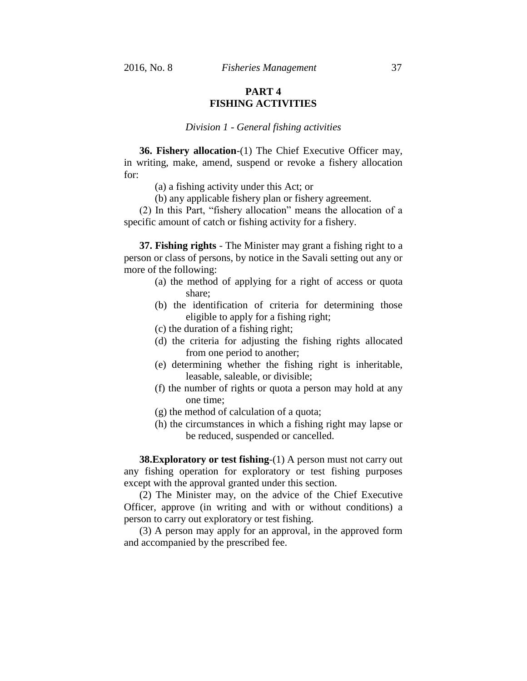# **PART 4 FISHING ACTIVITIES**

#### *Division 1 - General fishing activities*

**36. Fishery allocation**-(1) The Chief Executive Officer may, in writing, make, amend, suspend or revoke a fishery allocation for:

(a) a fishing activity under this Act; or

(b) any applicable fishery plan or fishery agreement.

(2) In this Part, "fishery allocation" means the allocation of a specific amount of catch or fishing activity for a fishery.

**37. Fishing rights** - The Minister may grant a fishing right to a person or class of persons, by notice in the Savali setting out any or more of the following:

- (a) the method of applying for a right of access or quota share;
- (b) the identification of criteria for determining those eligible to apply for a fishing right;
- (c) the duration of a fishing right;
- (d) the criteria for adjusting the fishing rights allocated from one period to another;
- (e) determining whether the fishing right is inheritable, leasable, saleable, or divisible;
- (f) the number of rights or quota a person may hold at any one time;
- (g) the method of calculation of a quota;
- (h) the circumstances in which a fishing right may lapse or be reduced, suspended or cancelled.

**38. Exploratory or test fishing-(1)** A person must not carry out any fishing operation for exploratory or test fishing purposes except with the approval granted under this section.

(2) The Minister may, on the advice of the Chief Executive Officer, approve (in writing and with or without conditions) a person to carry out exploratory or test fishing.

(3) A person may apply for an approval, in the approved form and accompanied by the prescribed fee.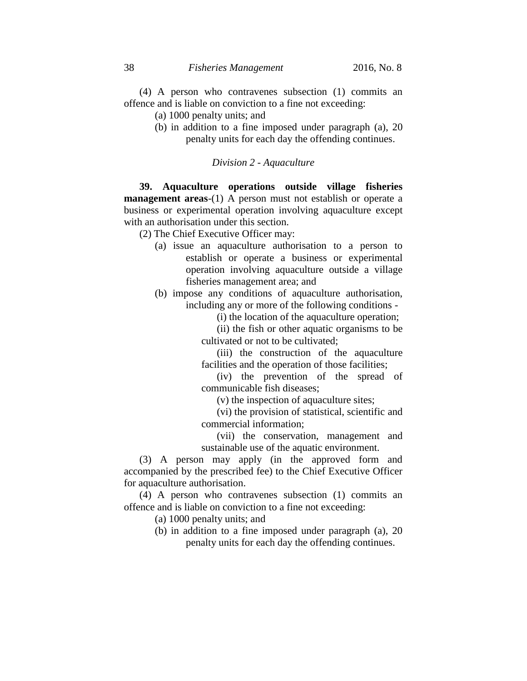(4) A person who contravenes subsection (1) commits an offence and is liable on conviction to a fine not exceeding:

(a) 1000 penalty units; and

(b) in addition to a fine imposed under paragraph (a), 20 penalty units for each day the offending continues.

*Division 2 - Aquaculture*

**39. Aquaculture operations outside village fisheries management areas**-(1) A person must not establish or operate a business or experimental operation involving aquaculture except with an authorisation under this section.

(2) The Chief Executive Officer may:

- (a) issue an aquaculture authorisation to a person to establish or operate a business or experimental operation involving aquaculture outside a village fisheries management area; and
- (b) impose any conditions of aquaculture authorisation, including any or more of the following conditions -

(i) the location of the aquaculture operation;

(ii) the fish or other aquatic organisms to be cultivated or not to be cultivated;

(iii) the construction of the aquaculture facilities and the operation of those facilities;

(iv) the prevention of the spread of communicable fish diseases;

(v) the inspection of aquaculture sites;

(vi) the provision of statistical, scientific and commercial information;

(vii) the conservation, management and sustainable use of the aquatic environment.

(3) A person may apply (in the approved form and accompanied by the prescribed fee) to the Chief Executive Officer for aquaculture authorisation.

(4) A person who contravenes subsection (1) commits an offence and is liable on conviction to a fine not exceeding:

- (a) 1000 penalty units; and
- (b) in addition to a fine imposed under paragraph (a), 20 penalty units for each day the offending continues.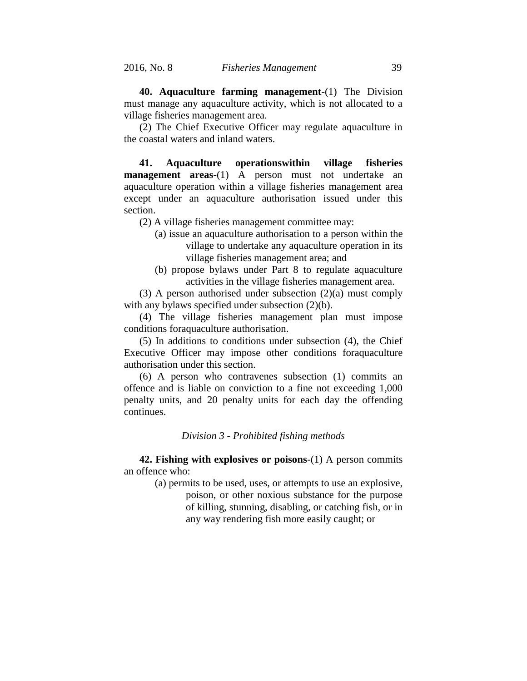**40. Aquaculture farming management**-(1) The Division must manage any aquaculture activity, which is not allocated to a village fisheries management area.

(2) The Chief Executive Officer may regulate aquaculture in the coastal waters and inland waters.

**41. Aquaculture operationswithin village fisheries management areas**-(1) A person must not undertake an aquaculture operation within a village fisheries management area except under an aquaculture authorisation issued under this section.

(2) A village fisheries management committee may:

- (a) issue an aquaculture authorisation to a person within the village to undertake any aquaculture operation in its village fisheries management area; and
- (b) propose bylaws under Part 8 to regulate aquaculture activities in the village fisheries management area.

(3) A person authorised under subsection (2)(a) must comply with any bylaws specified under subsection  $(2)(b)$ .

(4) The village fisheries management plan must impose conditions foraquaculture authorisation.

(5) In additions to conditions under subsection (4), the Chief Executive Officer may impose other conditions foraquaculture authorisation under this section.

(6) A person who contravenes subsection (1) commits an offence and is liable on conviction to a fine not exceeding 1,000 penalty units, and 20 penalty units for each day the offending continues.

#### *Division 3 - Prohibited fishing methods*

**42. Fishing with explosives or poisons**-(1) A person commits an offence who:

> (a) permits to be used, uses, or attempts to use an explosive, poison, or other noxious substance for the purpose of killing, stunning, disabling, or catching fish, or in any way rendering fish more easily caught; or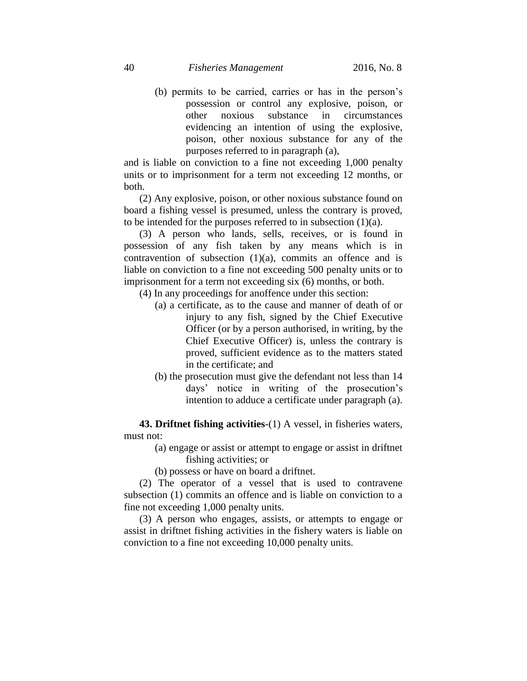(b) permits to be carried, carries or has in the person's possession or control any explosive, poison, or other noxious substance in circumstances evidencing an intention of using the explosive, poison, other noxious substance for any of the purposes referred to in paragraph (a),

and is liable on conviction to a fine not exceeding 1,000 penalty units or to imprisonment for a term not exceeding 12 months, or both.

(2) Any explosive, poison, or other noxious substance found on board a fishing vessel is presumed, unless the contrary is proved, to be intended for the purposes referred to in subsection  $(1)(a)$ .

(3) A person who lands, sells, receives, or is found in possession of any fish taken by any means which is in contravention of subsection  $(1)(a)$ , commits an offence and is liable on conviction to a fine not exceeding 500 penalty units or to imprisonment for a term not exceeding six (6) months, or both.

- (4) In any proceedings for anoffence under this section:
	- (a) a certificate, as to the cause and manner of death of or injury to any fish, signed by the Chief Executive Officer (or by a person authorised, in writing, by the Chief Executive Officer) is, unless the contrary is proved, sufficient evidence as to the matters stated in the certificate; and
	- (b) the prosecution must give the defendant not less than 14 days' notice in writing of the prosecution's intention to adduce a certificate under paragraph (a).

**43. Driftnet fishing activities**-(1) A vessel, in fisheries waters, must not:

> (a) engage or assist or attempt to engage or assist in driftnet fishing activities; or

(b) possess or have on board a driftnet.

(2) The operator of a vessel that is used to contravene subsection (1) commits an offence and is liable on conviction to a fine not exceeding 1,000 penalty units.

(3) A person who engages, assists, or attempts to engage or assist in driftnet fishing activities in the fishery waters is liable on conviction to a fine not exceeding 10,000 penalty units.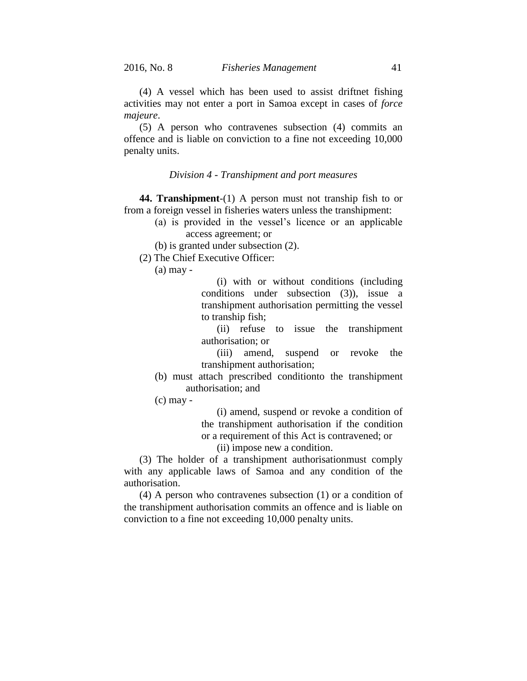(4) A vessel which has been used to assist driftnet fishing activities may not enter a port in Samoa except in cases of *force majeure*.

(5) A person who contravenes subsection (4) commits an offence and is liable on conviction to a fine not exceeding 10,000 penalty units.

#### *Division 4 - Transhipment and port measures*

**44. Transhipment**-(1) A person must not tranship fish to or from a foreign vessel in fisheries waters unless the transhipment:

- (a) is provided in the vessel's licence or an applicable access agreement; or
- (b) is granted under subsection (2).
- (2) The Chief Executive Officer:

(a) may -

(i) with or without conditions (including conditions under subsection (3)), issue a transhipment authorisation permitting the vessel to tranship fish;

(ii) refuse to issue the transhipment authorisation; or

(iii) amend, suspend or revoke the transhipment authorisation;

- (b) must attach prescribed conditionto the transhipment authorisation; and
- (c) may -

(i) amend, suspend or revoke a condition of the transhipment authorisation if the condition or a requirement of this Act is contravened; or

(ii) impose new a condition.

(3) The holder of a transhipment authorisationmust comply with any applicable laws of Samoa and any condition of the authorisation.

(4) A person who contravenes subsection (1) or a condition of the transhipment authorisation commits an offence and is liable on conviction to a fine not exceeding 10,000 penalty units.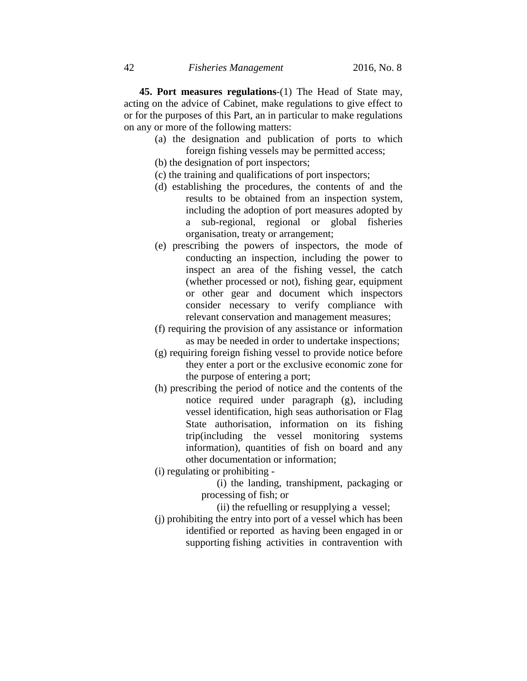**45. Port measures regulations**-(1) The Head of State may, acting on the advice of Cabinet, make regulations to give effect to or for the purposes of this Part, an in particular to make regulations on any or more of the following matters:

- (a) the designation and publication of ports to which foreign fishing vessels may be permitted access;
- (b) the designation of port inspectors;
- (c) the training and qualifications of port inspectors;
- (d) establishing the procedures, the contents of and the results to be obtained from an inspection system, including the adoption of port measures adopted by a sub-regional, regional or global fisheries organisation, treaty or arrangement;
- (e) prescribing the powers of inspectors, the mode of conducting an inspection, including the power to inspect an area of the fishing vessel, the catch (whether processed or not), fishing gear, equipment or other gear and document which inspectors consider necessary to verify compliance with relevant conservation and management measures;
- (f) requiring the provision of any assistance or information as may be needed in order to undertake inspections;
- (g) requiring foreign fishing vessel to provide notice before they enter a port or the exclusive economic zone for the purpose of entering a port;
- (h) prescribing the period of notice and the contents of the notice required under paragraph (g), including vessel identification, high seas authorisation or Flag State authorisation, information on its fishing trip(including the vessel monitoring systems information), quantities of fish on board and any other documentation or information;
- (i) regulating or prohibiting -

(i) the landing, transhipment, packaging or processing of fish; or

(ii) the refuelling or resupplying a vessel;

(j) prohibiting the entry into port of a vessel which has been identified or reported as having been engaged in or supporting fishing activities in contravention with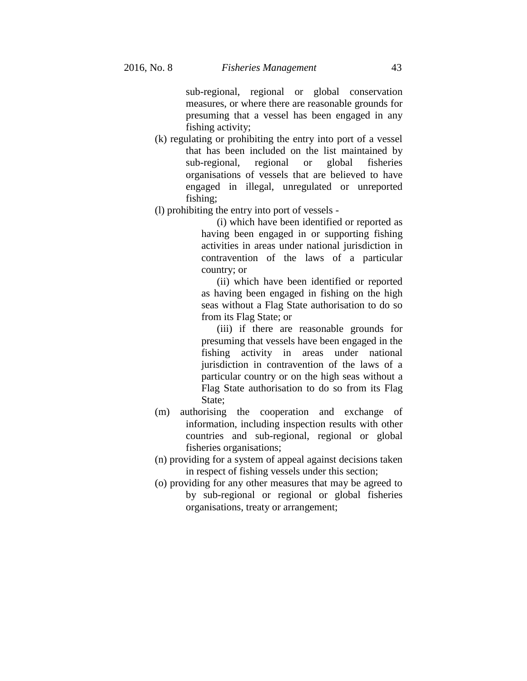sub-regional, regional or global conservation measures, or where there are reasonable grounds for presuming that a vessel has been engaged in any fishing activity;

- (k) regulating or prohibiting the entry into port of a vessel that has been included on the list maintained by sub-regional, regional or global fisheries organisations of vessels that are believed to have engaged in illegal, unregulated or unreported fishing;
- (l) prohibiting the entry into port of vessels -

(i) which have been identified or reported as having been engaged in or supporting fishing activities in areas under national jurisdiction in contravention of the laws of a particular country; or

(ii) which have been identified or reported as having been engaged in fishing on the high seas without a Flag State authorisation to do so from its Flag State; or

(iii) if there are reasonable grounds for presuming that vessels have been engaged in the fishing activity in areas under national jurisdiction in contravention of the laws of a particular country or on the high seas without a Flag State authorisation to do so from its Flag State;

- (m) authorising the cooperation and exchange of information, including inspection results with other countries and sub-regional, regional or global fisheries organisations;
- (n) providing for a system of appeal against decisions taken in respect of fishing vessels under this section;
- (o) providing for any other measures that may be agreed to by sub-regional or regional or global fisheries organisations, treaty or arrangement;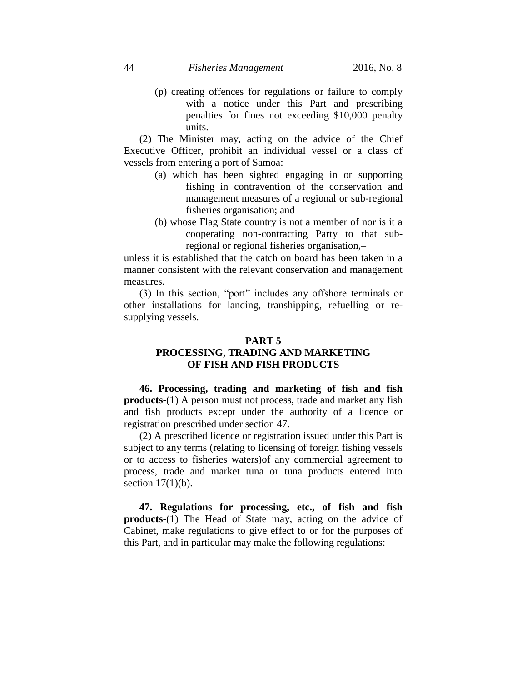(p) creating offences for regulations or failure to comply with a notice under this Part and prescribing penalties for fines not exceeding \$10,000 penalty units.

(2) The Minister may, acting on the advice of the Chief Executive Officer, prohibit an individual vessel or a class of vessels from entering a port of Samoa:

- (a) which has been sighted engaging in or supporting fishing in contravention of the conservation and management measures of a regional or sub-regional fisheries organisation; and
- (b) whose Flag State country is not a member of nor is it a cooperating non-contracting Party to that subregional or regional fisheries organisation,–

unless it is established that the catch on board has been taken in a manner consistent with the relevant conservation and management measures.

(3) In this section, "port" includes any offshore terminals or other installations for landing, transhipping, refuelling or resupplying vessels.

## **PART 5**

# **PROCESSING, TRADING AND MARKETING OF FISH AND FISH PRODUCTS**

**46. Processing, trading and marketing of fish and fish products**-(1) A person must not process, trade and market any fish and fish products except under the authority of a licence or registration prescribed under section 47.

(2) A prescribed licence or registration issued under this Part is subject to any terms (relating to licensing of foreign fishing vessels or to access to fisheries waters)of any commercial agreement to process, trade and market tuna or tuna products entered into section  $17(1)(b)$ .

**47. Regulations for processing, etc., of fish and fish products**-(1) The Head of State may, acting on the advice of Cabinet, make regulations to give effect to or for the purposes of this Part, and in particular may make the following regulations: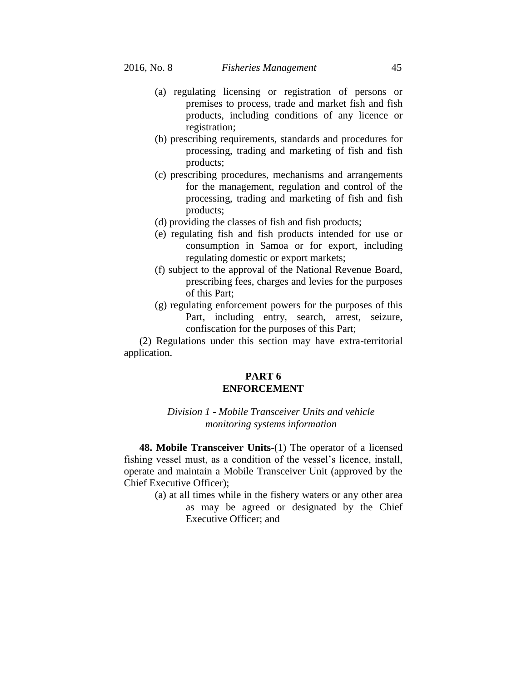- (a) regulating licensing or registration of persons or premises to process, trade and market fish and fish products, including conditions of any licence or registration;
- (b) prescribing requirements, standards and procedures for processing, trading and marketing of fish and fish products;
- (c) prescribing procedures, mechanisms and arrangements for the management, regulation and control of the processing, trading and marketing of fish and fish products;
- (d) providing the classes of fish and fish products;
- (e) regulating fish and fish products intended for use or consumption in Samoa or for export, including regulating domestic or export markets;
- (f) subject to the approval of the National Revenue Board, prescribing fees, charges and levies for the purposes of this Part;
- (g) regulating enforcement powers for the purposes of this Part, including entry, search, arrest, seizure, confiscation for the purposes of this Part;

(2) Regulations under this section may have extra-territorial application.

# **PART 6 ENFORCEMENT**

# *Division 1 - Mobile Transceiver Units and vehicle monitoring systems information*

**48. Mobile Transceiver Units**-(1) The operator of a licensed fishing vessel must, as a condition of the vessel's licence, install, operate and maintain a Mobile Transceiver Unit (approved by the Chief Executive Officer);

> (a) at all times while in the fishery waters or any other area as may be agreed or designated by the Chief Executive Officer; and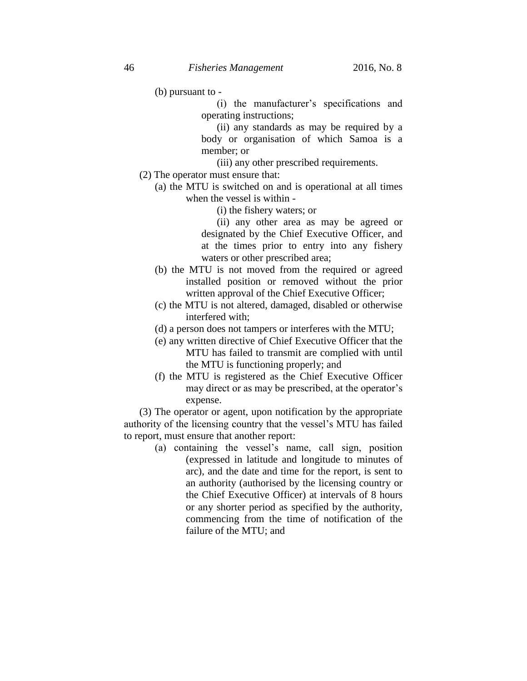(b) pursuant to -

(i) the manufacturer's specifications and operating instructions;

(ii) any standards as may be required by a body or organisation of which Samoa is a member; or

(iii) any other prescribed requirements.

- (2) The operator must ensure that:
	- (a) the MTU is switched on and is operational at all times when the vessel is within -
		- (i) the fishery waters; or

(ii) any other area as may be agreed or designated by the Chief Executive Officer, and at the times prior to entry into any fishery waters or other prescribed area;

- (b) the MTU is not moved from the required or agreed installed position or removed without the prior written approval of the Chief Executive Officer;
- (c) the MTU is not altered, damaged, disabled or otherwise interfered with;
- (d) a person does not tampers or interferes with the MTU;
- (e) any written directive of Chief Executive Officer that the MTU has failed to transmit are complied with until the MTU is functioning properly; and
- (f) the MTU is registered as the Chief Executive Officer may direct or as may be prescribed, at the operator's expense.

(3) The operator or agent, upon notification by the appropriate authority of the licensing country that the vessel's MTU has failed to report, must ensure that another report:

> (a) containing the vessel's name, call sign, position (expressed in latitude and longitude to minutes of arc), and the date and time for the report, is sent to an authority (authorised by the licensing country or the Chief Executive Officer) at intervals of 8 hours or any shorter period as specified by the authority, commencing from the time of notification of the failure of the MTU; and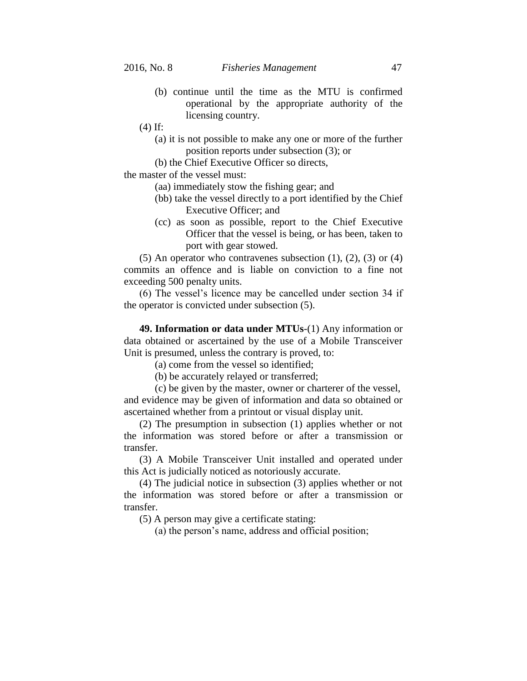- (b) continue until the time as the MTU is confirmed operational by the appropriate authority of the licensing country.
- (4) If:
	- (a) it is not possible to make any one or more of the further position reports under subsection (3); or
	- (b) the Chief Executive Officer so directs,

the master of the vessel must:

- (aa) immediately stow the fishing gear; and
- (bb) take the vessel directly to a port identified by the Chief Executive Officer; and
- (cc) as soon as possible, report to the Chief Executive Officer that the vessel is being, or has been, taken to port with gear stowed.

(5) An operator who contravenes subsection  $(1)$ ,  $(2)$ ,  $(3)$  or  $(4)$ commits an offence and is liable on conviction to a fine not exceeding 500 penalty units.

(6) The vessel's licence may be cancelled under section 34 if the operator is convicted under subsection (5).

**49. Information or data under MTUs**-(1) Any information or data obtained or ascertained by the use of a Mobile Transceiver Unit is presumed, unless the contrary is proved, to:

(a) come from the vessel so identified;

(b) be accurately relayed or transferred;

(c) be given by the master, owner or charterer of the vessel, and evidence may be given of information and data so obtained or ascertained whether from a printout or visual display unit.

(2) The presumption in subsection (1) applies whether or not the information was stored before or after a transmission or transfer.

(3) A Mobile Transceiver Unit installed and operated under this Act is judicially noticed as notoriously accurate.

(4) The judicial notice in subsection (3) applies whether or not the information was stored before or after a transmission or transfer.

(5) A person may give a certificate stating:

(a) the person's name, address and official position;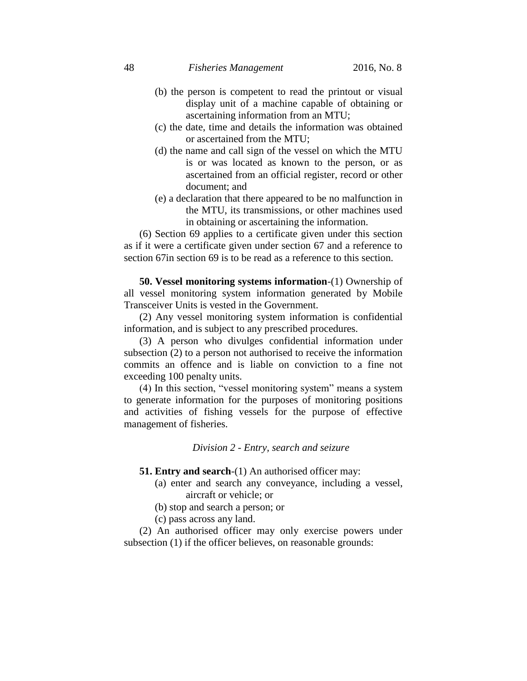- (b) the person is competent to read the printout or visual display unit of a machine capable of obtaining or ascertaining information from an MTU;
- (c) the date, time and details the information was obtained or ascertained from the MTU;
- (d) the name and call sign of the vessel on which the MTU is or was located as known to the person, or as ascertained from an official register, record or other document; and
- (e) a declaration that there appeared to be no malfunction in the MTU, its transmissions, or other machines used in obtaining or ascertaining the information.

(6) Section 69 applies to a certificate given under this section as if it were a certificate given under section 67 and a reference to section 67in section 69 is to be read as a reference to this section.

**50. Vessel monitoring systems information**-(1) Ownership of all vessel monitoring system information generated by Mobile Transceiver Units is vested in the Government.

(2) Any vessel monitoring system information is confidential information, and is subject to any prescribed procedures.

(3) A person who divulges confidential information under subsection (2) to a person not authorised to receive the information commits an offence and is liable on conviction to a fine not exceeding 100 penalty units.

(4) In this section, "vessel monitoring system" means a system to generate information for the purposes of monitoring positions and activities of fishing vessels for the purpose of effective management of fisheries.

*Division 2 - Entry, search and seizure*

- **51. Entry and search**-(1) An authorised officer may:
	- (a) enter and search any conveyance, including a vessel, aircraft or vehicle; or
	- (b) stop and search a person; or
	- (c) pass across any land.

(2) An authorised officer may only exercise powers under subsection (1) if the officer believes, on reasonable grounds: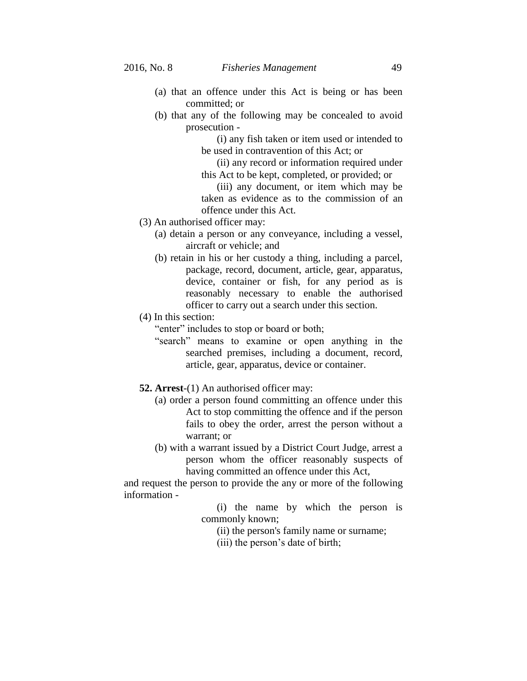- (a) that an offence under this Act is being or has been committed; or
- (b) that any of the following may be concealed to avoid prosecution -

(i) any fish taken or item used or intended to be used in contravention of this Act; or

(ii) any record or information required under this Act to be kept, completed, or provided; or

(iii) any document, or item which may be taken as evidence as to the commission of an offence under this Act.

- (3) An authorised officer may:
	- (a) detain a person or any conveyance, including a vessel, aircraft or vehicle; and
	- (b) retain in his or her custody a thing, including a parcel, package, record, document, article, gear, apparatus, device, container or fish, for any period as is reasonably necessary to enable the authorised officer to carry out a search under this section.
- (4) In this section:

"enter" includes to stop or board or both;

- "search" means to examine or open anything in the searched premises, including a document, record, article, gear, apparatus, device or container.
- **52. Arrest**-(1) An authorised officer may:
	- (a) order a person found committing an offence under this Act to stop committing the offence and if the person fails to obey the order, arrest the person without a warrant; or
	- (b) with a warrant issued by a District Court Judge, arrest a person whom the officer reasonably suspects of having committed an offence under this Act,

and request the person to provide the any or more of the following information -

> (i) the name by which the person is commonly known;

(ii) the person's family name or surname;

(iii) the person's date of birth;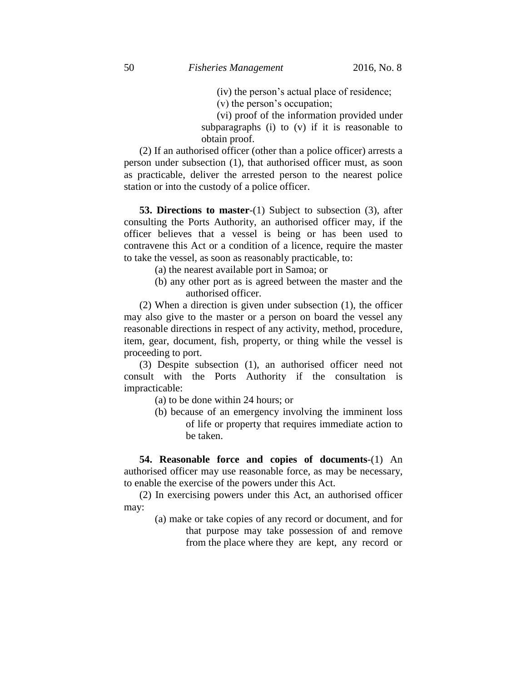(iv) the person's actual place of residence;

(v) the person's occupation;

(vi) proof of the information provided under subparagraphs (i) to (v) if it is reasonable to obtain proof.

(2) If an authorised officer (other than a police officer) arrests a person under subsection (1), that authorised officer must, as soon as practicable, deliver the arrested person to the nearest police station or into the custody of a police officer.

**53. Directions to master**-(1) Subject to subsection (3), after consulting the Ports Authority, an authorised officer may, if the officer believes that a vessel is being or has been used to contravene this Act or a condition of a licence, require the master to take the vessel, as soon as reasonably practicable, to:

(a) the nearest available port in Samoa; or

(b) any other port as is agreed between the master and the authorised officer.

(2) When a direction is given under subsection (1), the officer may also give to the master or a person on board the vessel any reasonable directions in respect of any activity, method, procedure, item, gear, document, fish, property, or thing while the vessel is proceeding to port.

(3) Despite subsection (1), an authorised officer need not consult with the Ports Authority if the consultation is impracticable:

(a) to be done within 24 hours; or

(b) because of an emergency involving the imminent loss of life or property that requires immediate action to be taken.

**54. Reasonable force and copies of documents**-(1) An authorised officer may use reasonable force, as may be necessary, to enable the exercise of the powers under this Act.

(2) In exercising powers under this Act, an authorised officer may:

> (a) make or take copies of any record or document, and for that purpose may take possession of and remove from the place where they are kept, any record or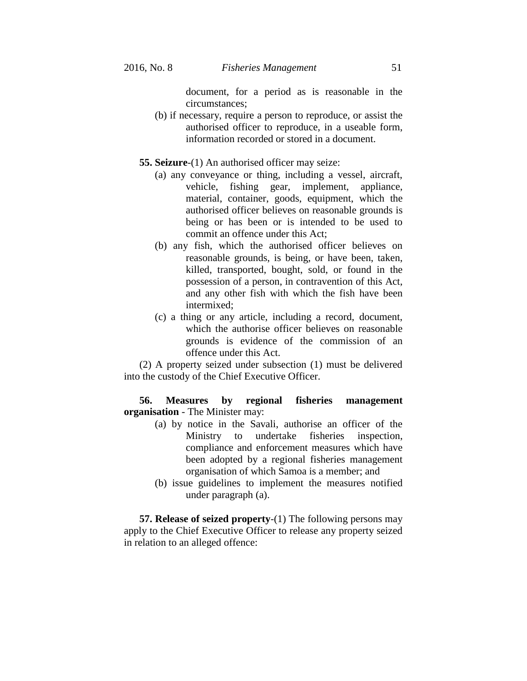document, for a period as is reasonable in the circumstances;

- (b) if necessary, require a person to reproduce, or assist the authorised officer to reproduce, in a useable form, information recorded or stored in a document.
- **55. Seizure**-(1) An authorised officer may seize:
	- (a) any conveyance or thing, including a vessel, aircraft, vehicle, fishing gear, implement, appliance, material, container, goods, equipment, which the authorised officer believes on reasonable grounds is being or has been or is intended to be used to commit an offence under this Act;
	- (b) any fish, which the authorised officer believes on reasonable grounds, is being, or have been, taken, killed, transported, bought, sold, or found in the possession of a person, in contravention of this Act, and any other fish with which the fish have been intermixed;
	- (c) a thing or any article, including a record, document, which the authorise officer believes on reasonable grounds is evidence of the commission of an offence under this Act.

(2) A property seized under subsection (1) must be delivered into the custody of the Chief Executive Officer.

**56. Measures by regional fisheries management organisation** - The Minister may:

- (a) by notice in the Savali, authorise an officer of the Ministry to undertake fisheries inspection, compliance and enforcement measures which have been adopted by a regional fisheries management organisation of which Samoa is a member; and
- (b) issue guidelines to implement the measures notified under paragraph (a).

**57. Release of seized property**-(1) The following persons may apply to the Chief Executive Officer to release any property seized in relation to an alleged offence: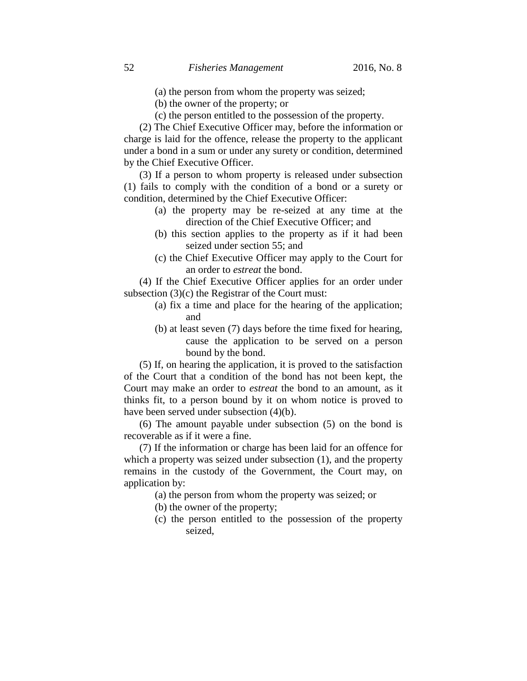- (a) the person from whom the property was seized;
- (b) the owner of the property; or
- (c) the person entitled to the possession of the property.

(2) The Chief Executive Officer may, before the information or charge is laid for the offence, release the property to the applicant under a bond in a sum or under any surety or condition, determined by the Chief Executive Officer.

(3) If a person to whom property is released under subsection (1) fails to comply with the condition of a bond or a surety or condition, determined by the Chief Executive Officer:

- (a) the property may be re-seized at any time at the direction of the Chief Executive Officer; and
- (b) this section applies to the property as if it had been seized under section 55; and
- (c) the Chief Executive Officer may apply to the Court for an order to *estreat* the bond.

(4) If the Chief Executive Officer applies for an order under subsection (3)(c) the Registrar of the Court must:

- (a) fix a time and place for the hearing of the application; and
- (b) at least seven (7) days before the time fixed for hearing, cause the application to be served on a person bound by the bond.

(5) If, on hearing the application, it is proved to the satisfaction of the Court that a condition of the bond has not been kept, the Court may make an order to *estreat* the bond to an amount, as it thinks fit, to a person bound by it on whom notice is proved to have been served under subsection (4)(b).

(6) The amount payable under subsection (5) on the bond is recoverable as if it were a fine.

(7) If the information or charge has been laid for an offence for which a property was seized under subsection (1), and the property remains in the custody of the Government, the Court may, on application by:

- (a) the person from whom the property was seized; or
- (b) the owner of the property;
- (c) the person entitled to the possession of the property seized,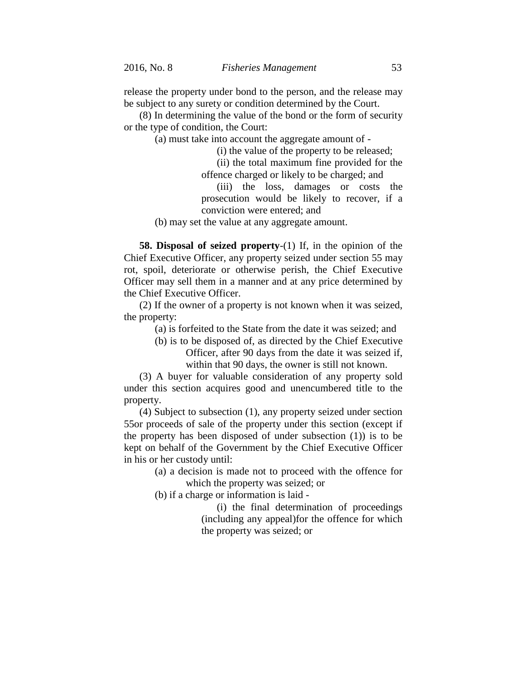release the property under bond to the person, and the release may be subject to any surety or condition determined by the Court.

(8) In determining the value of the bond or the form of security or the type of condition, the Court:

(a) must take into account the aggregate amount of -

(i) the value of the property to be released;

(ii) the total maximum fine provided for the offence charged or likely to be charged; and

(iii) the loss, damages or costs the prosecution would be likely to recover, if a conviction were entered; and

(b) may set the value at any aggregate amount.

**58. Disposal of seized property**-(1) If, in the opinion of the Chief Executive Officer, any property seized under section 55 may rot, spoil, deteriorate or otherwise perish, the Chief Executive Officer may sell them in a manner and at any price determined by the Chief Executive Officer.

(2) If the owner of a property is not known when it was seized, the property:

(a) is forfeited to the State from the date it was seized; and

(b) is to be disposed of, as directed by the Chief Executive Officer, after 90 days from the date it was seized if, within that 90 days, the owner is still not known.

(3) A buyer for valuable consideration of any property sold under this section acquires good and unencumbered title to the property.

(4) Subject to subsection (1), any property seized under section 55or proceeds of sale of the property under this section (except if the property has been disposed of under subsection (1)) is to be kept on behalf of the Government by the Chief Executive Officer in his or her custody until:

> (a) a decision is made not to proceed with the offence for which the property was seized; or

(b) if a charge or information is laid -

(i) the final determination of proceedings (including any appeal)for the offence for which the property was seized; or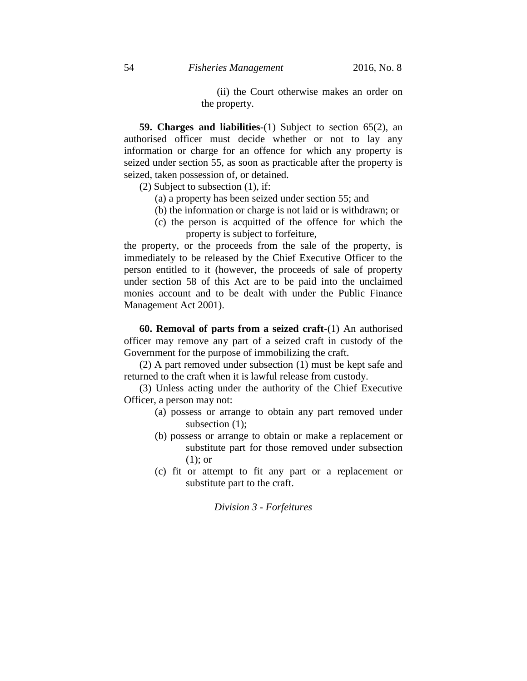(ii) the Court otherwise makes an order on the property.

**59. Charges and liabilities**-(1) Subject to section 65(2), an authorised officer must decide whether or not to lay any information or charge for an offence for which any property is seized under section 55, as soon as practicable after the property is seized, taken possession of, or detained.

(2) Subject to subsection (1), if:

- (a) a property has been seized under section 55; and
- (b) the information or charge is not laid or is withdrawn; or
- (c) the person is acquitted of the offence for which the property is subject to forfeiture,

the property, or the proceeds from the sale of the property, is immediately to be released by the Chief Executive Officer to the person entitled to it (however, the proceeds of sale of property under section 58 of this Act are to be paid into the unclaimed monies account and to be dealt with under the Public Finance Management Act 2001).

**60. Removal of parts from a seized craft**-(1) An authorised officer may remove any part of a seized craft in custody of the Government for the purpose of immobilizing the craft.

(2) A part removed under subsection (1) must be kept safe and returned to the craft when it is lawful release from custody.

(3) Unless acting under the authority of the Chief Executive Officer, a person may not:

- (a) possess or arrange to obtain any part removed under subsection (1);
- (b) possess or arrange to obtain or make a replacement or substitute part for those removed under subsection (1); or
- (c) fit or attempt to fit any part or a replacement or substitute part to the craft.

*Division 3 - Forfeitures*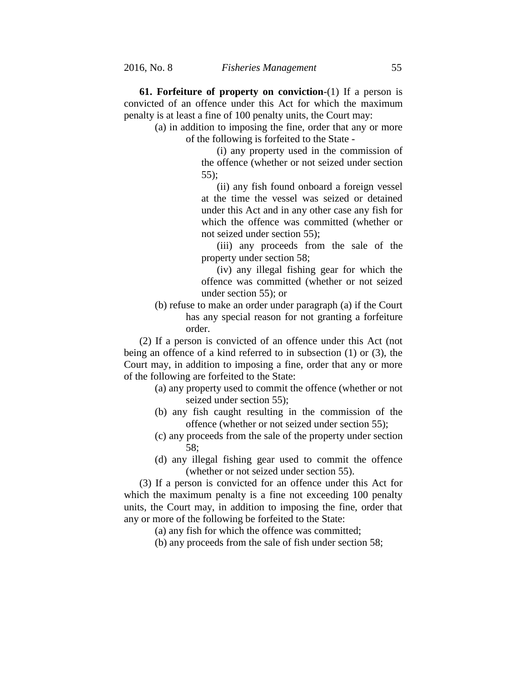**61. Forfeiture of property on conviction**-(1) If a person is convicted of an offence under this Act for which the maximum penalty is at least a fine of 100 penalty units, the Court may:

> (a) in addition to imposing the fine, order that any or more of the following is forfeited to the State -

> > (i) any property used in the commission of the offence (whether or not seized under section 55);

> > (ii) any fish found onboard a foreign vessel at the time the vessel was seized or detained under this Act and in any other case any fish for which the offence was committed (whether or not seized under section 55);

> > (iii) any proceeds from the sale of the property under section 58;

> > (iv) any illegal fishing gear for which the offence was committed (whether or not seized under section 55); or

(b) refuse to make an order under paragraph (a) if the Court has any special reason for not granting a forfeiture order.

(2) If a person is convicted of an offence under this Act (not being an offence of a kind referred to in subsection (1) or (3), the Court may, in addition to imposing a fine, order that any or more of the following are forfeited to the State:

- (a) any property used to commit the offence (whether or not seized under section 55);
- (b) any fish caught resulting in the commission of the offence (whether or not seized under section 55);
- (c) any proceeds from the sale of the property under section 58;
- (d) any illegal fishing gear used to commit the offence (whether or not seized under section 55).

(3) If a person is convicted for an offence under this Act for which the maximum penalty is a fine not exceeding 100 penalty units, the Court may, in addition to imposing the fine, order that any or more of the following be forfeited to the State:

(a) any fish for which the offence was committed;

(b) any proceeds from the sale of fish under section 58;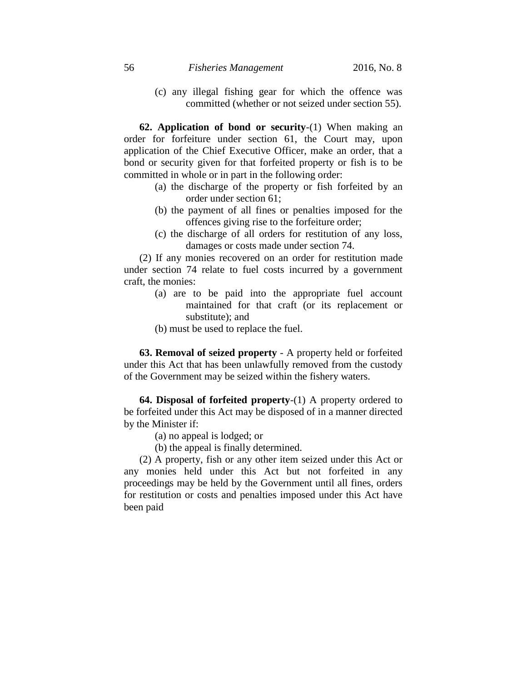(c) any illegal fishing gear for which the offence was committed (whether or not seized under section 55).

**62. Application of bond or security**-(1) When making an order for forfeiture under section 61, the Court may, upon application of the Chief Executive Officer, make an order, that a bond or security given for that forfeited property or fish is to be committed in whole or in part in the following order:

- (a) the discharge of the property or fish forfeited by an order under section 61;
- (b) the payment of all fines or penalties imposed for the offences giving rise to the forfeiture order;
- (c) the discharge of all orders for restitution of any loss, damages or costs made under section 74.

(2) If any monies recovered on an order for restitution made under section 74 relate to fuel costs incurred by a government craft, the monies:

- (a) are to be paid into the appropriate fuel account maintained for that craft (or its replacement or substitute); and
- (b) must be used to replace the fuel.

**63. Removal of seized property** - A property held or forfeited under this Act that has been unlawfully removed from the custody of the Government may be seized within the fishery waters.

**64. Disposal of forfeited property**-(1) A property ordered to be forfeited under this Act may be disposed of in a manner directed by the Minister if:

- (a) no appeal is lodged; or
- (b) the appeal is finally determined.

(2) A property, fish or any other item seized under this Act or any monies held under this Act but not forfeited in any proceedings may be held by the Government until all fines, orders for restitution or costs and penalties imposed under this Act have been paid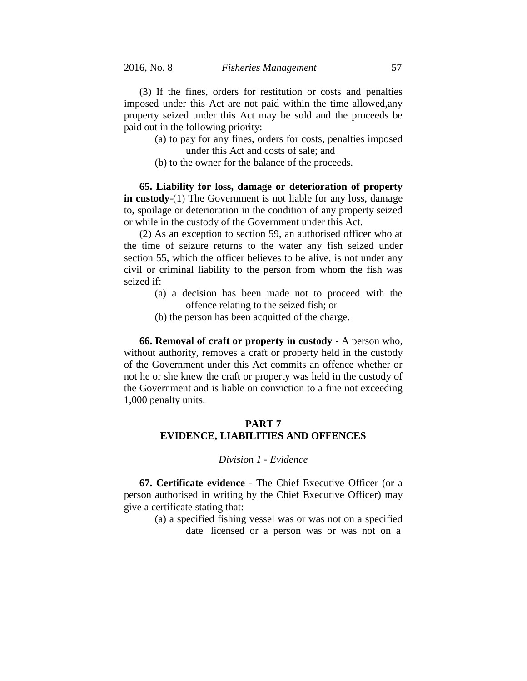(3) If the fines, orders for restitution or costs and penalties imposed under this Act are not paid within the time allowed,any property seized under this Act may be sold and the proceeds be paid out in the following priority:

- (a) to pay for any fines, orders for costs, penalties imposed under this Act and costs of sale; and
- (b) to the owner for the balance of the proceeds.

**65. Liability for loss, damage or deterioration of property in custody**-(1) The Government is not liable for any loss, damage to, spoilage or deterioration in the condition of any property seized or while in the custody of the Government under this Act.

(2) As an exception to section 59, an authorised officer who at the time of seizure returns to the water any fish seized under section 55, which the officer believes to be alive, is not under any civil or criminal liability to the person from whom the fish was seized if:

- (a) a decision has been made not to proceed with the offence relating to the seized fish; or
- (b) the person has been acquitted of the charge.

**66. Removal of craft or property in custody** - A person who, without authority, removes a craft or property held in the custody of the Government under this Act commits an offence whether or not he or she knew the craft or property was held in the custody of the Government and is liable on conviction to a fine not exceeding 1,000 penalty units.

# **PART 7 EVIDENCE, LIABILITIES AND OFFENCES**

## *Division 1 - Evidence*

**67. Certificate evidence** - The Chief Executive Officer (or a person authorised in writing by the Chief Executive Officer) may give a certificate stating that:

> (a) a specified fishing vessel was or was not on a specified date licensed or a person was or was not on a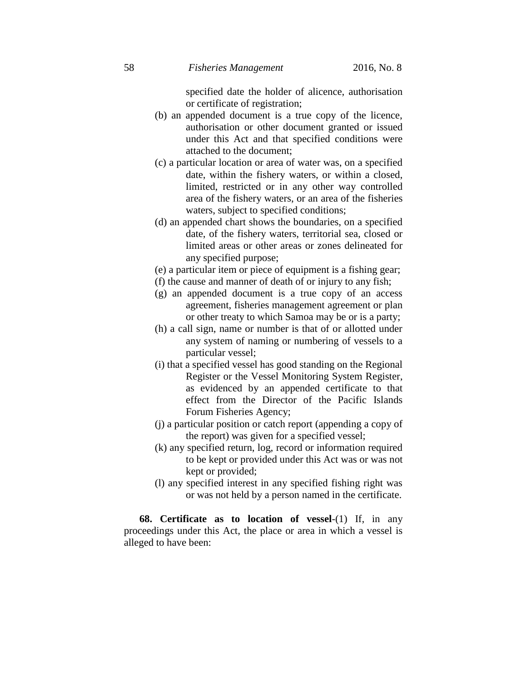specified date the holder of alicence, authorisation or certificate of registration;

- (b) an appended document is a true copy of the licence, authorisation or other document granted or issued under this Act and that specified conditions were attached to the document;
- (c) a particular location or area of water was, on a specified date, within the fishery waters, or within a closed, limited, restricted or in any other way controlled area of the fishery waters, or an area of the fisheries waters, subject to specified conditions;
- (d) an appended chart shows the boundaries, on a specified date, of the fishery waters, territorial sea, closed or limited areas or other areas or zones delineated for any specified purpose;
- (e) a particular item or piece of equipment is a fishing gear;
- (f) the cause and manner of death of or injury to any fish;
- (g) an appended document is a true copy of an access agreement, fisheries management agreement or plan or other treaty to which Samoa may be or is a party;
- (h) a call sign, name or number is that of or allotted under any system of naming or numbering of vessels to a particular vessel;
- (i) that a specified vessel has good standing on the Regional Register or the Vessel Monitoring System Register, as evidenced by an appended certificate to that effect from the Director of the Pacific Islands Forum Fisheries Agency;
- (j) a particular position or catch report (appending a copy of the report) was given for a specified vessel;
- (k) any specified return, log, record or information required to be kept or provided under this Act was or was not kept or provided;
- (l) any specified interest in any specified fishing right was or was not held by a person named in the certificate.

**68. Certificate as to location of vessel**-(1) If, in any proceedings under this Act, the place or area in which a vessel is alleged to have been: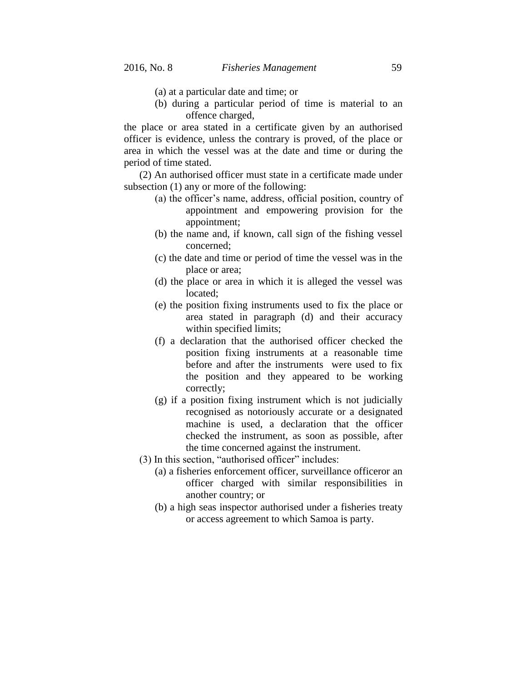- (a) at a particular date and time; or
- (b) during a particular period of time is material to an offence charged,

the place or area stated in a certificate given by an authorised officer is evidence, unless the contrary is proved, of the place or area in which the vessel was at the date and time or during the period of time stated.

(2) An authorised officer must state in a certificate made under subsection (1) any or more of the following:

- (a) the officer's name, address, official position, country of appointment and empowering provision for the appointment;
- (b) the name and, if known, call sign of the fishing vessel concerned;
- (c) the date and time or period of time the vessel was in the place or area;
- (d) the place or area in which it is alleged the vessel was located;
- (e) the position fixing instruments used to fix the place or area stated in paragraph (d) and their accuracy within specified limits;
- (f) a declaration that the authorised officer checked the position fixing instruments at a reasonable time before and after the instruments were used to fix the position and they appeared to be working correctly;
- (g) if a position fixing instrument which is not judicially recognised as notoriously accurate or a designated machine is used, a declaration that the officer checked the instrument, as soon as possible, after the time concerned against the instrument.
- (3) In this section, "authorised officer" includes:
	- (a) a fisheries enforcement officer, surveillance officeror an officer charged with similar responsibilities in another country; or
	- (b) a high seas inspector authorised under a fisheries treaty or access agreement to which Samoa is party.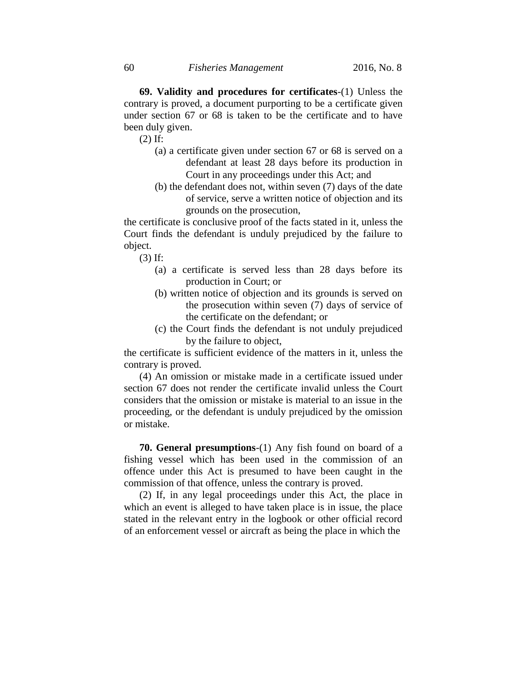**69. Validity and procedures for certificates**-(1) Unless the contrary is proved, a document purporting to be a certificate given under section 67 or 68 is taken to be the certificate and to have been duly given.

(2) If:

- (a) a certificate given under section 67 or 68 is served on a defendant at least 28 days before its production in Court in any proceedings under this Act; and
- (b) the defendant does not, within seven (7) days of the date of service, serve a written notice of objection and its grounds on the prosecution,

the certificate is conclusive proof of the facts stated in it, unless the Court finds the defendant is unduly prejudiced by the failure to object.

(3) If:

- (a) a certificate is served less than 28 days before its production in Court; or
- (b) written notice of objection and its grounds is served on the prosecution within seven (7) days of service of the certificate on the defendant; or
- (c) the Court finds the defendant is not unduly prejudiced by the failure to object,

the certificate is sufficient evidence of the matters in it, unless the contrary is proved.

(4) An omission or mistake made in a certificate issued under section 67 does not render the certificate invalid unless the Court considers that the omission or mistake is material to an issue in the proceeding, or the defendant is unduly prejudiced by the omission or mistake.

**70. General presumptions**-(1) Any fish found on board of a fishing vessel which has been used in the commission of an offence under this Act is presumed to have been caught in the commission of that offence, unless the contrary is proved.

(2) If, in any legal proceedings under this Act, the place in which an event is alleged to have taken place is in issue, the place stated in the relevant entry in the logbook or other official record of an enforcement vessel or aircraft as being the place in which the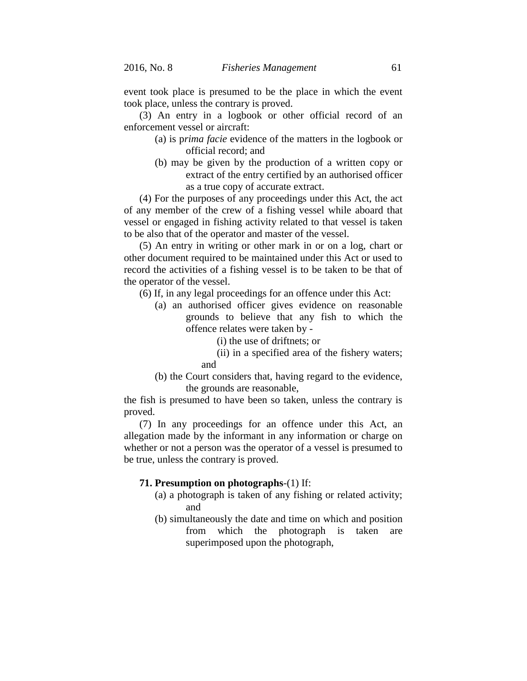event took place is presumed to be the place in which the event took place, unless the contrary is proved.

(3) An entry in a logbook or other official record of an enforcement vessel or aircraft:

- (a) is p*rima facie* evidence of the matters in the logbook or official record; and
- (b) may be given by the production of a written copy or extract of the entry certified by an authorised officer as a true copy of accurate extract.

(4) For the purposes of any proceedings under this Act, the act of any member of the crew of a fishing vessel while aboard that vessel or engaged in fishing activity related to that vessel is taken to be also that of the operator and master of the vessel.

(5) An entry in writing or other mark in or on a log, chart or other document required to be maintained under this Act or used to record the activities of a fishing vessel is to be taken to be that of the operator of the vessel.

(6) If, in any legal proceedings for an offence under this Act:

(a) an authorised officer gives evidence on reasonable grounds to believe that any fish to which the offence relates were taken by -

(i) the use of driftnets; or

(ii) in a specified area of the fishery waters; and

(b) the Court considers that, having regard to the evidence, the grounds are reasonable,

the fish is presumed to have been so taken, unless the contrary is proved.

(7) In any proceedings for an offence under this Act, an allegation made by the informant in any information or charge on whether or not a person was the operator of a vessel is presumed to be true, unless the contrary is proved.

#### **71. Presumption on photographs**-(1) If:

- (a) a photograph is taken of any fishing or related activity; and
- (b) simultaneously the date and time on which and position from which the photograph is taken are superimposed upon the photograph,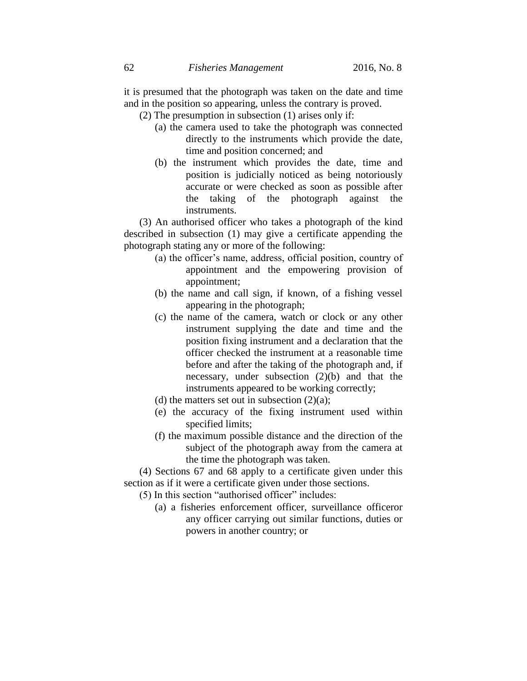it is presumed that the photograph was taken on the date and time and in the position so appearing, unless the contrary is proved.

(2) The presumption in subsection (1) arises only if:

- (a) the camera used to take the photograph was connected directly to the instruments which provide the date, time and position concerned; and
- (b) the instrument which provides the date, time and position is judicially noticed as being notoriously accurate or were checked as soon as possible after the taking of the photograph against the instruments.

(3) An authorised officer who takes a photograph of the kind described in subsection (1) may give a certificate appending the photograph stating any or more of the following:

- (a) the officer's name, address, official position, country of appointment and the empowering provision of appointment;
- (b) the name and call sign, if known, of a fishing vessel appearing in the photograph;
- (c) the name of the camera, watch or clock or any other instrument supplying the date and time and the position fixing instrument and a declaration that the officer checked the instrument at a reasonable time before and after the taking of the photograph and, if necessary, under subsection (2)(b) and that the instruments appeared to be working correctly;
- (d) the matters set out in subsection  $(2)(a)$ ;
- (e) the accuracy of the fixing instrument used within specified limits;
- (f) the maximum possible distance and the direction of the subject of the photograph away from the camera at the time the photograph was taken.

(4) Sections 67 and 68 apply to a certificate given under this section as if it were a certificate given under those sections.

(5) In this section "authorised officer" includes:

(a) a fisheries enforcement officer, surveillance officeror any officer carrying out similar functions, duties or powers in another country; or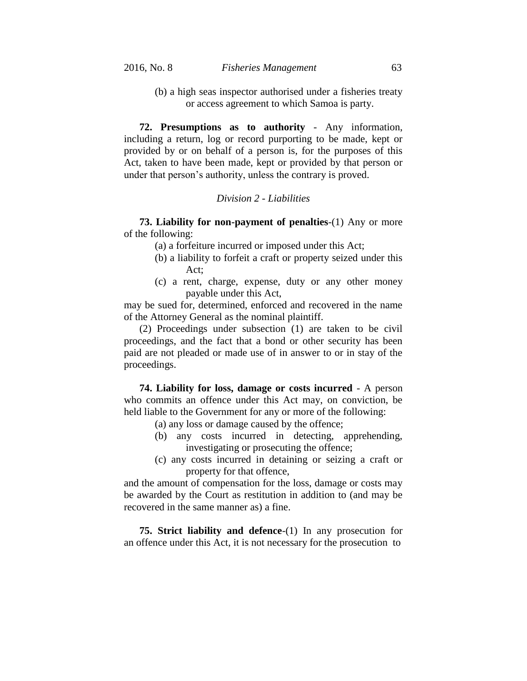(b) a high seas inspector authorised under a fisheries treaty or access agreement to which Samoa is party.

**72. Presumptions as to authority** - Any information, including a return, log or record purporting to be made, kept or provided by or on behalf of a person is, for the purposes of this Act, taken to have been made, kept or provided by that person or under that person's authority, unless the contrary is proved.

#### *Division 2 - Liabilities*

**73. Liability for non-payment of penalties**-(1) Any or more of the following:

(a) a forfeiture incurred or imposed under this Act;

- (b) a liability to forfeit a craft or property seized under this Act;
- (c) a rent, charge, expense, duty or any other money payable under this Act,

may be sued for, determined, enforced and recovered in the name of the Attorney General as the nominal plaintiff.

(2) Proceedings under subsection (1) are taken to be civil proceedings, and the fact that a bond or other security has been paid are not pleaded or made use of in answer to or in stay of the proceedings.

**74. Liability for loss, damage or costs incurred** - A person who commits an offence under this Act may, on conviction, be held liable to the Government for any or more of the following:

- (a) any loss or damage caused by the offence;
- (b) any costs incurred in detecting, apprehending, investigating or prosecuting the offence;
- (c) any costs incurred in detaining or seizing a craft or property for that offence,

and the amount of compensation for the loss, damage or costs may be awarded by the Court as restitution in addition to (and may be recovered in the same manner as) a fine.

**75. Strict liability and defence**-(1) In any prosecution for an offence under this Act, it is not necessary for the prosecution to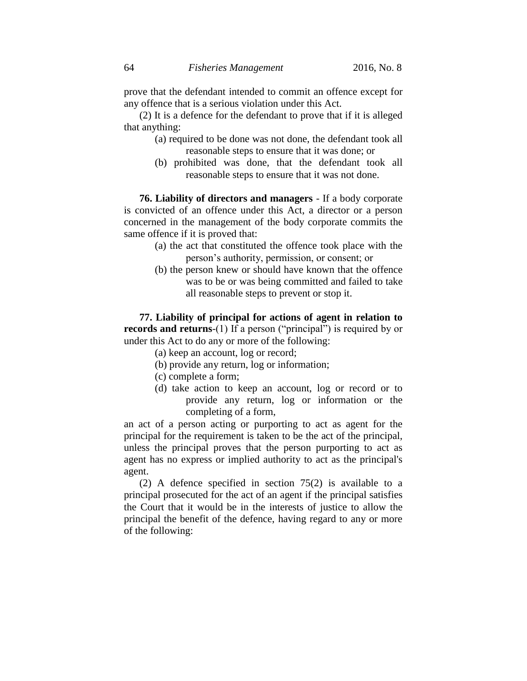prove that the defendant intended to commit an offence except for any offence that is a serious violation under this Act.

(2) It is a defence for the defendant to prove that if it is alleged that anything:

- (a) required to be done was not done, the defendant took all reasonable steps to ensure that it was done; or
- (b) prohibited was done, that the defendant took all reasonable steps to ensure that it was not done.

**76. Liability of directors and managers** - If a body corporate is convicted of an offence under this Act, a director or a person concerned in the management of the body corporate commits the same offence if it is proved that:

- (a) the act that constituted the offence took place with the person's authority, permission, or consent; or
- (b) the person knew or should have known that the offence was to be or was being committed and failed to take all reasonable steps to prevent or stop it.

**77. Liability of principal for actions of agent in relation to records and returns**-(1) If a person ("principal") is required by or under this Act to do any or more of the following:

(a) keep an account, log or record;

- (b) provide any return, log or information;
- (c) complete a form;
- (d) take action to keep an account, log or record or to provide any return, log or information or the completing of a form,

an act of a person acting or purporting to act as agent for the principal for the requirement is taken to be the act of the principal, unless the principal proves that the person purporting to act as agent has no express or implied authority to act as the principal's agent.

(2) A defence specified in section 75(2) is available to a principal prosecuted for the act of an agent if the principal satisfies the Court that it would be in the interests of justice to allow the principal the benefit of the defence, having regard to any or more of the following: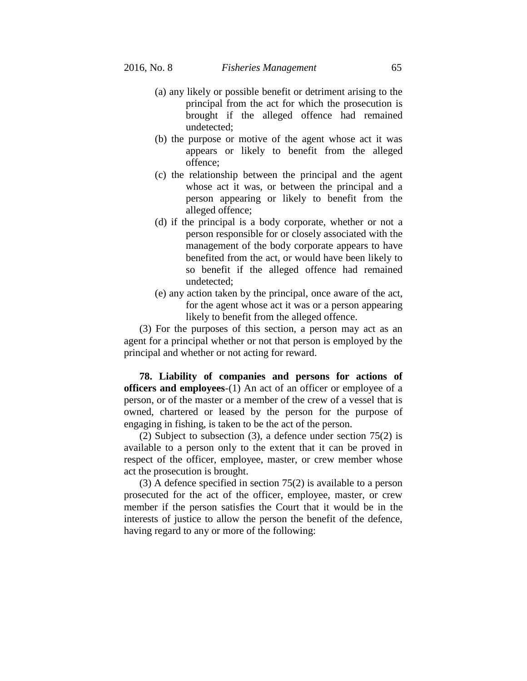- (a) any likely or possible benefit or detriment arising to the principal from the act for which the prosecution is brought if the alleged offence had remained undetected;
- (b) the purpose or motive of the agent whose act it was appears or likely to benefit from the alleged offence;
- (c) the relationship between the principal and the agent whose act it was, or between the principal and a person appearing or likely to benefit from the alleged offence;
- (d) if the principal is a body corporate, whether or not a person responsible for or closely associated with the management of the body corporate appears to have benefited from the act, or would have been likely to so benefit if the alleged offence had remained undetected;
- (e) any action taken by the principal, once aware of the act, for the agent whose act it was or a person appearing likely to benefit from the alleged offence.

(3) For the purposes of this section, a person may act as an agent for a principal whether or not that person is employed by the principal and whether or not acting for reward.

**78. Liability of companies and persons for actions of officers and employees**-(1) An act of an officer or employee of a person, or of the master or a member of the crew of a vessel that is owned, chartered or leased by the person for the purpose of engaging in fishing, is taken to be the act of the person.

(2) Subject to subsection (3), a defence under section 75(2) is available to a person only to the extent that it can be proved in respect of the officer, employee, master, or crew member whose act the prosecution is brought.

(3) A defence specified in section 75(2) is available to a person prosecuted for the act of the officer, employee, master, or crew member if the person satisfies the Court that it would be in the interests of justice to allow the person the benefit of the defence, having regard to any or more of the following: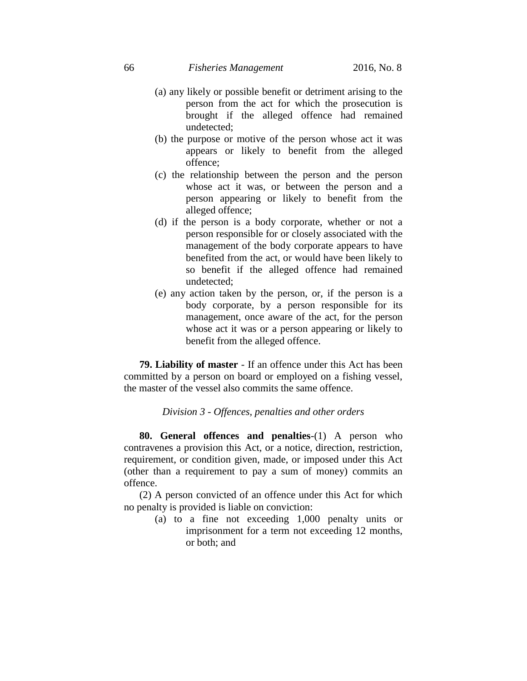- (a) any likely or possible benefit or detriment arising to the person from the act for which the prosecution is brought if the alleged offence had remained undetected;
- (b) the purpose or motive of the person whose act it was appears or likely to benefit from the alleged offence;
- (c) the relationship between the person and the person whose act it was, or between the person and a person appearing or likely to benefit from the alleged offence;
- (d) if the person is a body corporate, whether or not a person responsible for or closely associated with the management of the body corporate appears to have benefited from the act, or would have been likely to so benefit if the alleged offence had remained undetected;
- (e) any action taken by the person, or, if the person is a body corporate, by a person responsible for its management, once aware of the act, for the person whose act it was or a person appearing or likely to benefit from the alleged offence.

**79. Liability of master** - If an offence under this Act has been committed by a person on board or employed on a fishing vessel, the master of the vessel also commits the same offence.

#### *Division 3 - Offences, penalties and other orders*

**80. General offences and penalties**-(1) A person who contravenes a provision this Act, or a notice, direction, restriction, requirement, or condition given, made, or imposed under this Act (other than a requirement to pay a sum of money) commits an offence.

(2) A person convicted of an offence under this Act for which no penalty is provided is liable on conviction:

> (a) to a fine not exceeding 1,000 penalty units or imprisonment for a term not exceeding 12 months, or both; and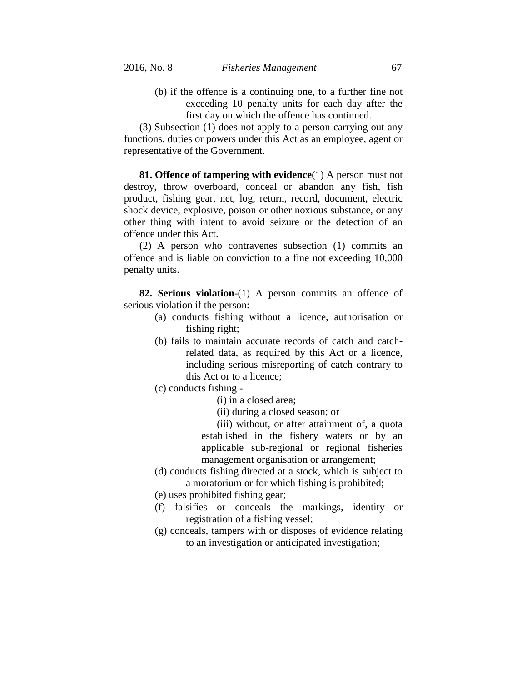(b) if the offence is a continuing one, to a further fine not exceeding 10 penalty units for each day after the first day on which the offence has continued.

(3) Subsection (1) does not apply to a person carrying out any functions, duties or powers under this Act as an employee, agent or representative of the Government.

**81. Offence of tampering with evidence**(1) A person must not destroy, throw overboard, conceal or abandon any fish, fish product, fishing gear, net, log, return, record, document, electric shock device, explosive, poison or other noxious substance, or any other thing with intent to avoid seizure or the detection of an offence under this Act.

(2) A person who contravenes subsection (1) commits an offence and is liable on conviction to a fine not exceeding 10,000 penalty units.

**82. Serious violation**-(1) A person commits an offence of serious violation if the person:

- (a) conducts fishing without a licence, authorisation or fishing right;
- (b) fails to maintain accurate records of catch and catchrelated data, as required by this Act or a licence, including serious misreporting of catch contrary to this Act or to a licence;
- (c) conducts fishing
	- (i) in a closed area;
	- (ii) during a closed season; or

(iii) without, or after attainment of, a quota established in the fishery waters or by an applicable sub-regional or regional fisheries management organisation or arrangement;

- (d) conducts fishing directed at a stock, which is subject to a moratorium or for which fishing is prohibited;
- (e) uses prohibited fishing gear;
- (f) falsifies or conceals the markings, identity or registration of a fishing vessel;
- (g) conceals, tampers with or disposes of evidence relating to an investigation or anticipated investigation;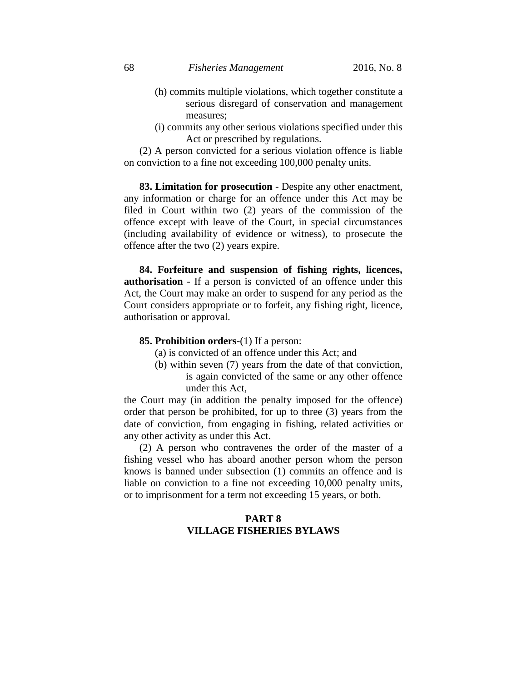- (h) commits multiple violations, which together constitute a serious disregard of conservation and management measures;
- (i) commits any other serious violations specified under this Act or prescribed by regulations.

(2) A person convicted for a serious violation offence is liable on conviction to a fine not exceeding 100,000 penalty units.

**83. Limitation for prosecution** - Despite any other enactment, any information or charge for an offence under this Act may be filed in Court within two (2) years of the commission of the offence except with leave of the Court, in special circumstances (including availability of evidence or witness), to prosecute the offence after the two (2) years expire.

**84. Forfeiture and suspension of fishing rights, licences, authorisation** - If a person is convicted of an offence under this Act, the Court may make an order to suspend for any period as the Court considers appropriate or to forfeit, any fishing right, licence, authorisation or approval.

## **85. Prohibition orders**-(1) If a person:

- (a) is convicted of an offence under this Act; and
- (b) within seven (7) years from the date of that conviction, is again convicted of the same or any other offence under this Act,

the Court may (in addition the penalty imposed for the offence) order that person be prohibited, for up to three (3) years from the date of conviction, from engaging in fishing, related activities or any other activity as under this Act.

(2) A person who contravenes the order of the master of a fishing vessel who has aboard another person whom the person knows is banned under subsection (1) commits an offence and is liable on conviction to a fine not exceeding 10,000 penalty units, or to imprisonment for a term not exceeding 15 years, or both.

## **PART 8 VILLAGE FISHERIES BYLAWS**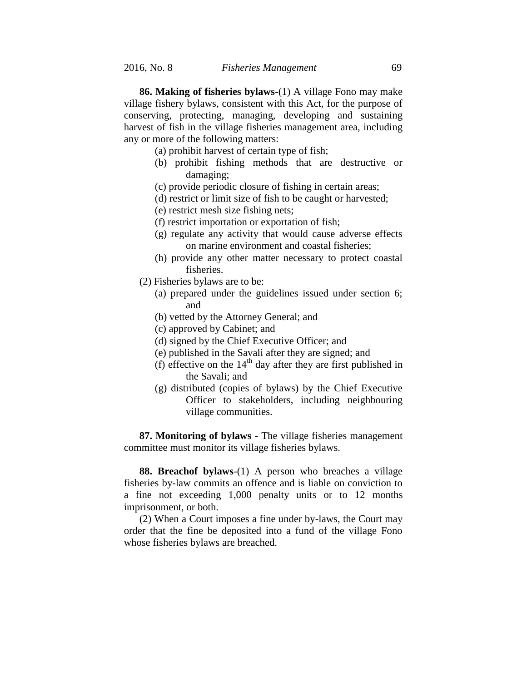**86. Making of fisheries bylaws**-(1) A village Fono may make village fishery bylaws, consistent with this Act, for the purpose of conserving, protecting, managing, developing and sustaining harvest of fish in the village fisheries management area, including any or more of the following matters:

- (a) prohibit harvest of certain type of fish;
- (b) prohibit fishing methods that are destructive or damaging;
- (c) provide periodic closure of fishing in certain areas;
- (d) restrict or limit size of fish to be caught or harvested;
- (e) restrict mesh size fishing nets;
- (f) restrict importation or exportation of fish;
- (g) regulate any activity that would cause adverse effects on marine environment and coastal fisheries;
- (h) provide any other matter necessary to protect coastal fisheries.
- (2) Fisheries bylaws are to be:
	- (a) prepared under the guidelines issued under section 6; and
	- (b) vetted by the Attorney General; and
	- (c) approved by Cabinet; and
	- (d) signed by the Chief Executive Officer; and
	- (e) published in the Savali after they are signed; and
	- (f) effective on the  $14<sup>th</sup>$  day after they are first published in the Savali; and
	- (g) distributed (copies of bylaws) by the Chief Executive Officer to stakeholders, including neighbouring village communities.

**87. Monitoring of bylaws** - The village fisheries management committee must monitor its village fisheries bylaws.

**88. Breachof bylaws**-(1) A person who breaches a village fisheries by-law commits an offence and is liable on conviction to a fine not exceeding 1,000 penalty units or to 12 months imprisonment, or both.

(2) When a Court imposes a fine under by-laws, the Court may order that the fine be deposited into a fund of the village Fono whose fisheries bylaws are breached.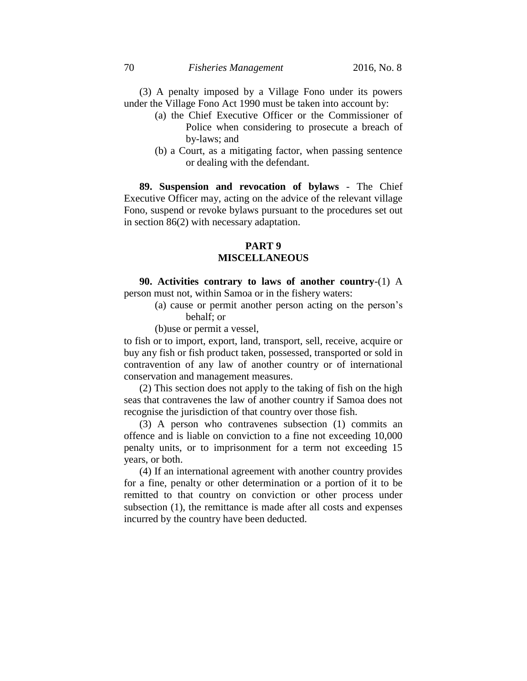(3) A penalty imposed by a Village Fono under its powers under the Village Fono Act 1990 must be taken into account by:

- (a) the Chief Executive Officer or the Commissioner of Police when considering to prosecute a breach of by-laws; and
- (b) a Court, as a mitigating factor, when passing sentence or dealing with the defendant.

**89. Suspension and revocation of bylaws** - The Chief Executive Officer may, acting on the advice of the relevant village Fono, suspend or revoke bylaws pursuant to the procedures set out in section 86(2) with necessary adaptation.

# **PART 9 MISCELLANEOUS**

**90. Activities contrary to laws of another country**-(1) A person must not, within Samoa or in the fishery waters:

> (a) cause or permit another person acting on the person's behalf; or

(b)use or permit a vessel,

to fish or to import, export, land, transport, sell, receive, acquire or buy any fish or fish product taken, possessed, transported or sold in contravention of any law of another country or of international conservation and management measures.

(2) This section does not apply to the taking of fish on the high seas that contravenes the law of another country if Samoa does not recognise the jurisdiction of that country over those fish.

(3) A person who contravenes subsection (1) commits an offence and is liable on conviction to a fine not exceeding 10,000 penalty units, or to imprisonment for a term not exceeding 15 years, or both.

(4) If an international agreement with another country provides for a fine, penalty or other determination or a portion of it to be remitted to that country on conviction or other process under subsection (1), the remittance is made after all costs and expenses incurred by the country have been deducted.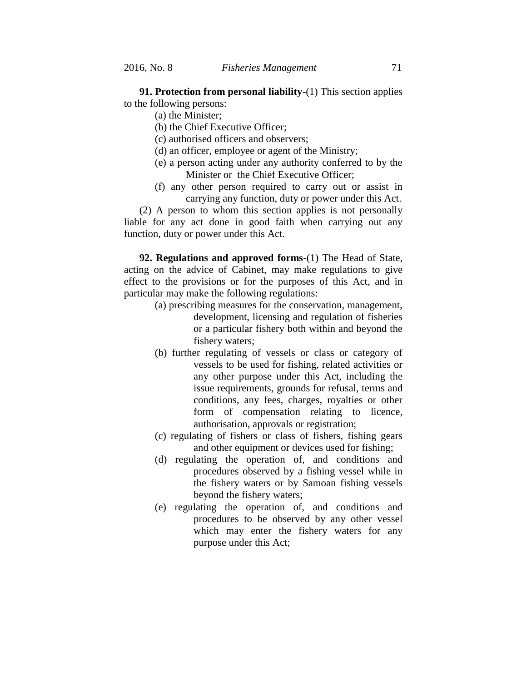**91. Protection from personal liability**-(1) This section applies to the following persons:

- (a) the Minister;
- (b) the Chief Executive Officer;
- (c) authorised officers and observers;
- (d) an officer, employee or agent of the Ministry;
- (e) a person acting under any authority conferred to by the Minister or the Chief Executive Officer;
- (f) any other person required to carry out or assist in carrying any function, duty or power under this Act.

(2) A person to whom this section applies is not personally liable for any act done in good faith when carrying out any function, duty or power under this Act.

**92. Regulations and approved forms**-(1) The Head of State, acting on the advice of Cabinet, may make regulations to give effect to the provisions or for the purposes of this Act, and in particular may make the following regulations:

- (a) prescribing measures for the conservation, management, development, licensing and regulation of fisheries or a particular fishery both within and beyond the fishery waters;
- (b) further regulating of vessels or class or category of vessels to be used for fishing, related activities or any other purpose under this Act, including the issue requirements, grounds for refusal, terms and conditions, any fees, charges, royalties or other form of compensation relating to licence, authorisation, approvals or registration;
- (c) regulating of fishers or class of fishers, fishing gears and other equipment or devices used for fishing;
- (d) regulating the operation of, and conditions and procedures observed by a fishing vessel while in the fishery waters or by Samoan fishing vessels beyond the fishery waters;
- (e) regulating the operation of, and conditions and procedures to be observed by any other vessel which may enter the fishery waters for any purpose under this Act;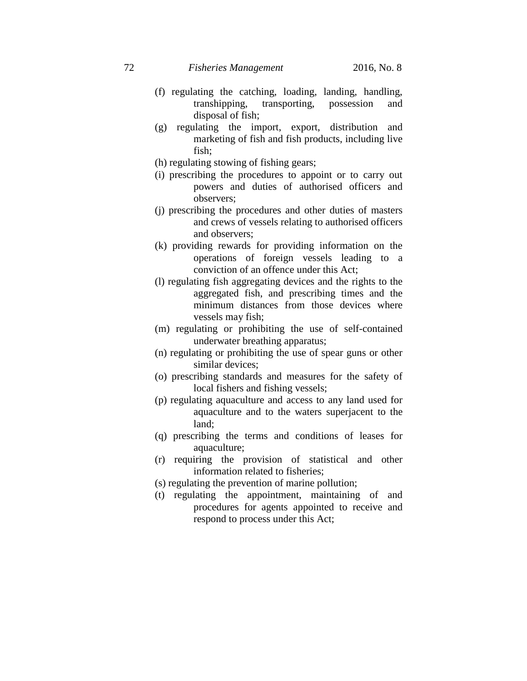- (f) regulating the catching, loading, landing, handling, transhipping, transporting, possession and disposal of fish;
- (g) regulating the import, export, distribution and marketing of fish and fish products, including live fish;
- (h) regulating stowing of fishing gears;
- (i) prescribing the procedures to appoint or to carry out powers and duties of authorised officers and observers;
- (j) prescribing the procedures and other duties of masters and crews of vessels relating to authorised officers and observers;
- (k) providing rewards for providing information on the operations of foreign vessels leading to a conviction of an offence under this Act;
- (l) regulating fish aggregating devices and the rights to the aggregated fish, and prescribing times and the minimum distances from those devices where vessels may fish;
- (m) regulating or prohibiting the use of self-contained underwater breathing apparatus;
- (n) regulating or prohibiting the use of spear guns or other similar devices;
- (o) prescribing standards and measures for the safety of local fishers and fishing vessels;
- (p) regulating aquaculture and access to any land used for aquaculture and to the waters superjacent to the land;
- (q) prescribing the terms and conditions of leases for aquaculture;
- (r) requiring the provision of statistical and other information related to fisheries;
- (s) regulating the prevention of marine pollution;
- (t) regulating the appointment, maintaining of and procedures for agents appointed to receive and respond to process under this Act;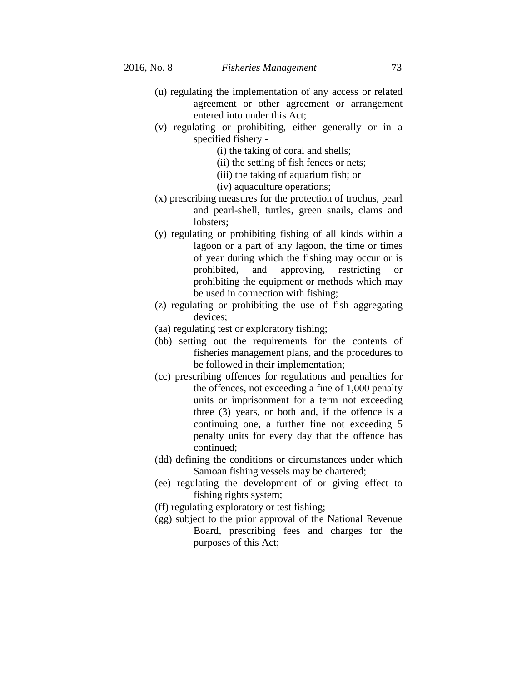- (u) regulating the implementation of any access or related agreement or other agreement or arrangement entered into under this Act;
- (v) regulating or prohibiting, either generally or in a specified fishery -
	- (i) the taking of coral and shells;
	- (ii) the setting of fish fences or nets;
	- (iii) the taking of aquarium fish; or
	- (iv) aquaculture operations;
- (x) prescribing measures for the protection of trochus, pearl and pearl-shell, turtles, green snails, clams and lobsters;
- (y) regulating or prohibiting fishing of all kinds within a lagoon or a part of any lagoon, the time or times of year during which the fishing may occur or is prohibited, and approving, restricting or prohibiting the equipment or methods which may be used in connection with fishing;
- (z) regulating or prohibiting the use of fish aggregating devices;
- (aa) regulating test or exploratory fishing;
- (bb) setting out the requirements for the contents of fisheries management plans, and the procedures to be followed in their implementation;
- (cc) prescribing offences for regulations and penalties for the offences, not exceeding a fine of 1,000 penalty units or imprisonment for a term not exceeding three (3) years, or both and, if the offence is a continuing one, a further fine not exceeding 5 penalty units for every day that the offence has continued;
- (dd) defining the conditions or circumstances under which Samoan fishing vessels may be chartered;
- (ee) regulating the development of or giving effect to fishing rights system;
- (ff) regulating exploratory or test fishing;
- (gg) subject to the prior approval of the National Revenue Board, prescribing fees and charges for the purposes of this Act;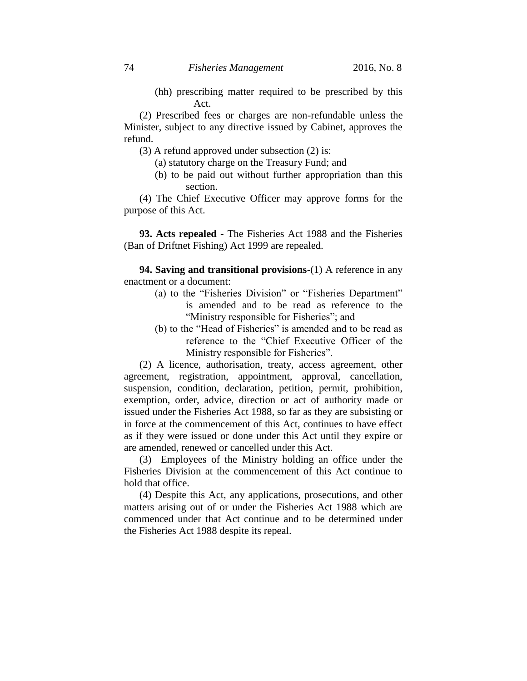(hh) prescribing matter required to be prescribed by this Act.

(2) Prescribed fees or charges are non-refundable unless the Minister, subject to any directive issued by Cabinet, approves the refund.

(3) A refund approved under subsection (2) is:

- (a) statutory charge on the Treasury Fund; and
- (b) to be paid out without further appropriation than this section.

(4) The Chief Executive Officer may approve forms for the purpose of this Act.

**93. Acts repealed** - The Fisheries Act 1988 and the Fisheries (Ban of Driftnet Fishing) Act 1999 are repealed.

**94. Saving and transitional provisions**-(1) A reference in any enactment or a document:

- (a) to the "Fisheries Division" or "Fisheries Department" is amended and to be read as reference to the "Ministry responsible for Fisheries"; and
- (b) to the "Head of Fisheries" is amended and to be read as reference to the "Chief Executive Officer of the Ministry responsible for Fisheries".

(2) A licence, authorisation, treaty, access agreement, other agreement, registration, appointment, approval, cancellation, suspension, condition, declaration, petition, permit, prohibition, exemption, order, advice, direction or act of authority made or issued under the Fisheries Act 1988, so far as they are subsisting or in force at the commencement of this Act, continues to have effect as if they were issued or done under this Act until they expire or are amended, renewed or cancelled under this Act.

(3) Employees of the Ministry holding an office under the Fisheries Division at the commencement of this Act continue to hold that office.

(4) Despite this Act, any applications, prosecutions, and other matters arising out of or under the Fisheries Act 1988 which are commenced under that Act continue and to be determined under the Fisheries Act 1988 despite its repeal.